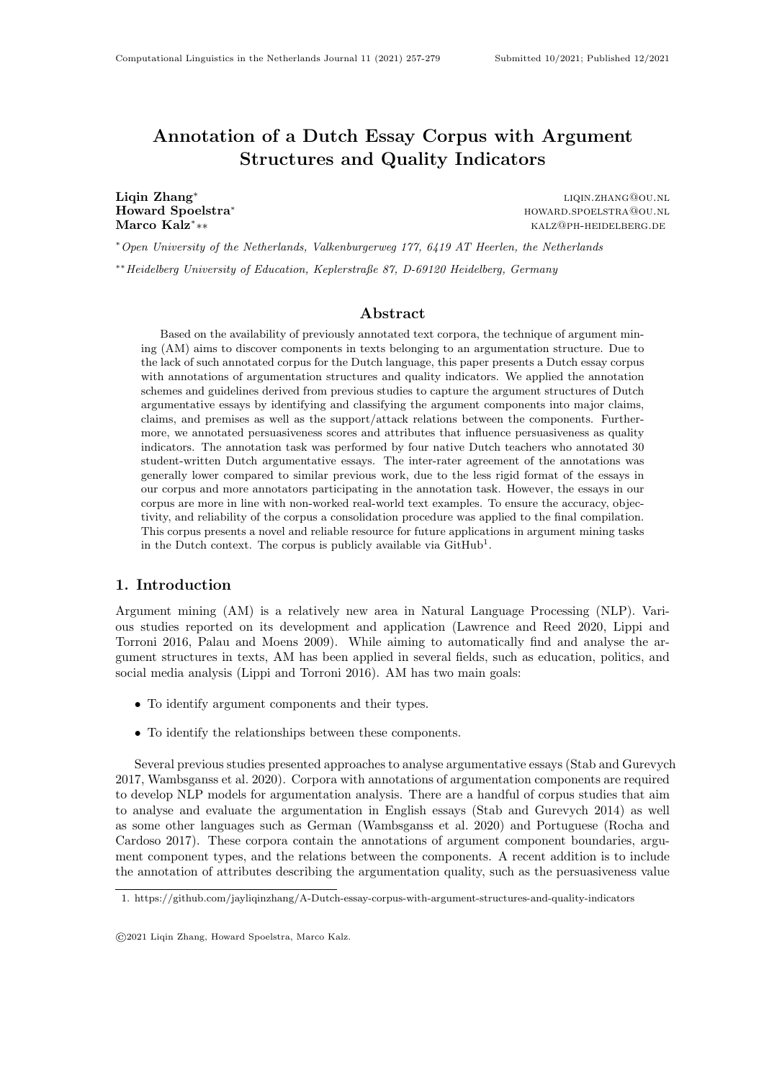# Annotation of a Dutch Essay Corpus with Argument Structures and Quality Indicators

Liqin Zhang<sup>∗</sup> Marco Kalz<sup>∗</sup>

liqin.zhang@ou.nl Howard Spoelstra<sup>∗</sup> howard.spoelstra<sup>∗</sup> howard.spoelstra<sup>®</sup> howard.spoelstra<sup>®</sup> howard.spoelstra<sup>®</sup> ∗∗ kalz@ph-heidelberg.de

<sup>∗</sup>Open University of the Netherlands, Valkenburgerweg 177, 6419 AT Heerlen, the Netherlands ∗∗Heidelberg University of Education, Keplerstraße 87, D-69120 Heidelberg, Germany

## Abstract

Based on the availability of previously annotated text corpora, the technique of argument mining (AM) aims to discover components in texts belonging to an argumentation structure. Due to the lack of such annotated corpus for the Dutch language, this paper presents a Dutch essay corpus with annotations of argumentation structures and quality indicators. We applied the annotation schemes and guidelines derived from previous studies to capture the argument structures of Dutch argumentative essays by identifying and classifying the argument components into major claims, claims, and premises as well as the support/attack relations between the components. Furthermore, we annotated persuasiveness scores and attributes that influence persuasiveness as quality indicators. The annotation task was performed by four native Dutch teachers who annotated 30 student-written Dutch argumentative essays. The inter-rater agreement of the annotations was generally lower compared to similar previous work, due to the less rigid format of the essays in our corpus and more annotators participating in the annotation task. However, the essays in our corpus are more in line with non-worked real-world text examples. To ensure the accuracy, objectivity, and reliability of the corpus a consolidation procedure was applied to the final compilation. This corpus presents a novel and reliable resource for future applications in argument mining tasks in the Dutch context. The corpus is publicly available via  $\text{GitHub}^1$ .

## 1. Introduction

Argument mining (AM) is a relatively new area in Natural Language Processing (NLP). Various studies reported on its development and application (Lawrence and Reed 2020, Lippi and Torroni 2016, Palau and Moens 2009). While aiming to automatically find and analyse the argument structures in texts, AM has been applied in several fields, such as education, politics, and social media analysis (Lippi and Torroni 2016). AM has two main goals:

- To identify argument components and their types.
- To identify the relationships between these components.

Several previous studies presented approaches to analyse argumentative essays (Stab and Gurevych 2017, Wambsganss et al. 2020). Corpora with annotations of argumentation components are required to develop NLP models for argumentation analysis. There are a handful of corpus studies that aim to analyse and evaluate the argumentation in English essays (Stab and Gurevych 2014) as well as some other languages such as German (Wambsganss et al. 2020) and Portuguese (Rocha and Cardoso 2017). These corpora contain the annotations of argument component boundaries, argument component types, and the relations between the components. A recent addition is to include the annotation of attributes describing the argumentation quality, such as the persuasiveness value

<sup>1.</sup> https://github.com/jayliqinzhang/A-Dutch-essay-corpus-with-argument-structures-and-quality-indicators

<sup>©</sup>2021 Liqin Zhang, Howard Spoelstra, Marco Kalz.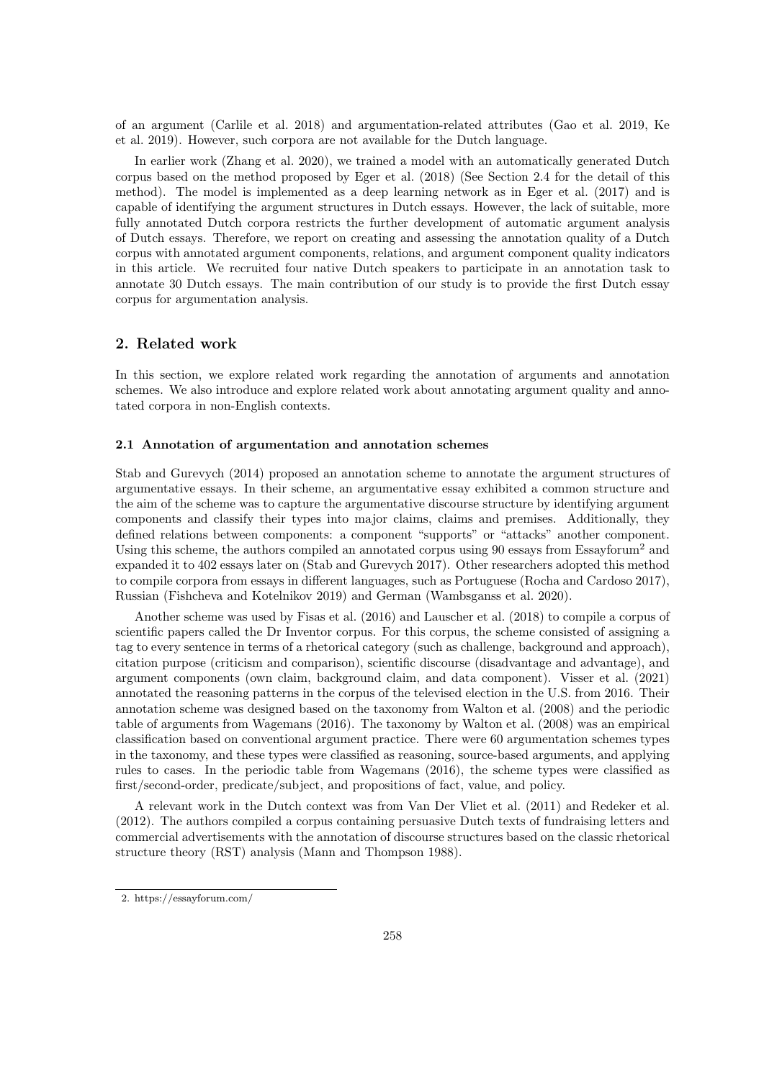of an argument (Carlile et al. 2018) and argumentation-related attributes (Gao et al. 2019, Ke et al. 2019). However, such corpora are not available for the Dutch language.

In earlier work (Zhang et al. 2020), we trained a model with an automatically generated Dutch corpus based on the method proposed by Eger et al. (2018) (See Section 2.4 for the detail of this method). The model is implemented as a deep learning network as in Eger et al. (2017) and is capable of identifying the argument structures in Dutch essays. However, the lack of suitable, more fully annotated Dutch corpora restricts the further development of automatic argument analysis of Dutch essays. Therefore, we report on creating and assessing the annotation quality of a Dutch corpus with annotated argument components, relations, and argument component quality indicators in this article. We recruited four native Dutch speakers to participate in an annotation task to annotate 30 Dutch essays. The main contribution of our study is to provide the first Dutch essay corpus for argumentation analysis.

## 2. Related work

In this section, we explore related work regarding the annotation of arguments and annotation schemes. We also introduce and explore related work about annotating argument quality and annotated corpora in non-English contexts.

#### 2.1 Annotation of argumentation and annotation schemes

Stab and Gurevych (2014) proposed an annotation scheme to annotate the argument structures of argumentative essays. In their scheme, an argumentative essay exhibited a common structure and the aim of the scheme was to capture the argumentative discourse structure by identifying argument components and classify their types into major claims, claims and premises. Additionally, they defined relations between components: a component "supports" or "attacks" another component. Using this scheme, the authors compiled an annotated corpus using 90 essays from Essayforum<sup>2</sup> and expanded it to 402 essays later on (Stab and Gurevych 2017). Other researchers adopted this method to compile corpora from essays in different languages, such as Portuguese (Rocha and Cardoso 2017), Russian (Fishcheva and Kotelnikov 2019) and German (Wambsganss et al. 2020).

Another scheme was used by Fisas et al. (2016) and Lauscher et al. (2018) to compile a corpus of scientific papers called the Dr Inventor corpus. For this corpus, the scheme consisted of assigning a tag to every sentence in terms of a rhetorical category (such as challenge, background and approach), citation purpose (criticism and comparison), scientific discourse (disadvantage and advantage), and argument components (own claim, background claim, and data component). Visser et al. (2021) annotated the reasoning patterns in the corpus of the televised election in the U.S. from 2016. Their annotation scheme was designed based on the taxonomy from Walton et al. (2008) and the periodic table of arguments from Wagemans (2016). The taxonomy by Walton et al. (2008) was an empirical classification based on conventional argument practice. There were 60 argumentation schemes types in the taxonomy, and these types were classified as reasoning, source-based arguments, and applying rules to cases. In the periodic table from Wagemans (2016), the scheme types were classified as first/second-order, predicate/subject, and propositions of fact, value, and policy.

A relevant work in the Dutch context was from Van Der Vliet et al. (2011) and Redeker et al. (2012). The authors compiled a corpus containing persuasive Dutch texts of fundraising letters and commercial advertisements with the annotation of discourse structures based on the classic rhetorical structure theory (RST) analysis (Mann and Thompson 1988).

<sup>2.</sup> https://essayforum.com/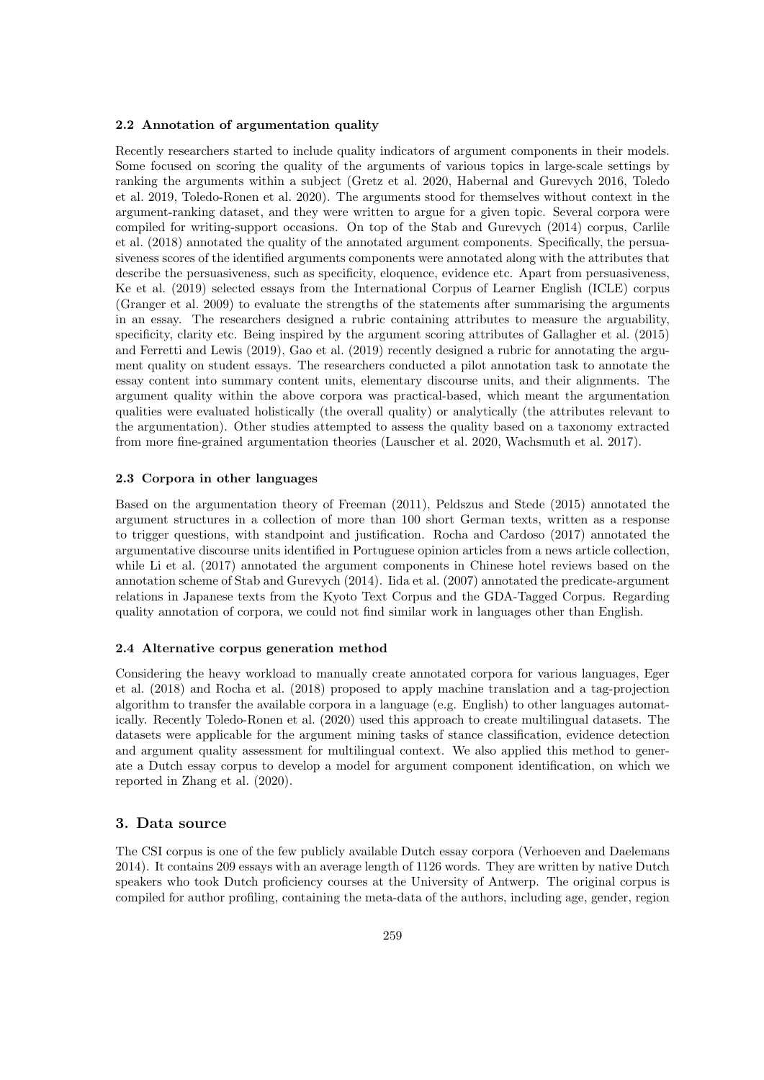## 2.2 Annotation of argumentation quality

Recently researchers started to include quality indicators of argument components in their models. Some focused on scoring the quality of the arguments of various topics in large-scale settings by ranking the arguments within a subject (Gretz et al. 2020, Habernal and Gurevych 2016, Toledo et al. 2019, Toledo-Ronen et al. 2020). The arguments stood for themselves without context in the argument-ranking dataset, and they were written to argue for a given topic. Several corpora were compiled for writing-support occasions. On top of the Stab and Gurevych (2014) corpus, Carlile et al. (2018) annotated the quality of the annotated argument components. Specifically, the persuasiveness scores of the identified arguments components were annotated along with the attributes that describe the persuasiveness, such as specificity, eloquence, evidence etc. Apart from persuasiveness, Ke et al. (2019) selected essays from the International Corpus of Learner English (ICLE) corpus (Granger et al. 2009) to evaluate the strengths of the statements after summarising the arguments in an essay. The researchers designed a rubric containing attributes to measure the arguability, specificity, clarity etc. Being inspired by the argument scoring attributes of Gallagher et al. (2015) and Ferretti and Lewis (2019), Gao et al. (2019) recently designed a rubric for annotating the argument quality on student essays. The researchers conducted a pilot annotation task to annotate the essay content into summary content units, elementary discourse units, and their alignments. The argument quality within the above corpora was practical-based, which meant the argumentation qualities were evaluated holistically (the overall quality) or analytically (the attributes relevant to the argumentation). Other studies attempted to assess the quality based on a taxonomy extracted from more fine-grained argumentation theories (Lauscher et al. 2020, Wachsmuth et al. 2017).

## 2.3 Corpora in other languages

Based on the argumentation theory of Freeman (2011), Peldszus and Stede (2015) annotated the argument structures in a collection of more than 100 short German texts, written as a response to trigger questions, with standpoint and justification. Rocha and Cardoso (2017) annotated the argumentative discourse units identified in Portuguese opinion articles from a news article collection, while Li et al. (2017) annotated the argument components in Chinese hotel reviews based on the annotation scheme of Stab and Gurevych (2014). Iida et al. (2007) annotated the predicate-argument relations in Japanese texts from the Kyoto Text Corpus and the GDA-Tagged Corpus. Regarding quality annotation of corpora, we could not find similar work in languages other than English.

## 2.4 Alternative corpus generation method

Considering the heavy workload to manually create annotated corpora for various languages, Eger et al. (2018) and Rocha et al. (2018) proposed to apply machine translation and a tag-projection algorithm to transfer the available corpora in a language (e.g. English) to other languages automatically. Recently Toledo-Ronen et al. (2020) used this approach to create multilingual datasets. The datasets were applicable for the argument mining tasks of stance classification, evidence detection and argument quality assessment for multilingual context. We also applied this method to generate a Dutch essay corpus to develop a model for argument component identification, on which we reported in Zhang et al. (2020).

## 3. Data source

The CSI corpus is one of the few publicly available Dutch essay corpora (Verhoeven and Daelemans 2014). It contains 209 essays with an average length of 1126 words. They are written by native Dutch speakers who took Dutch proficiency courses at the University of Antwerp. The original corpus is compiled for author profiling, containing the meta-data of the authors, including age, gender, region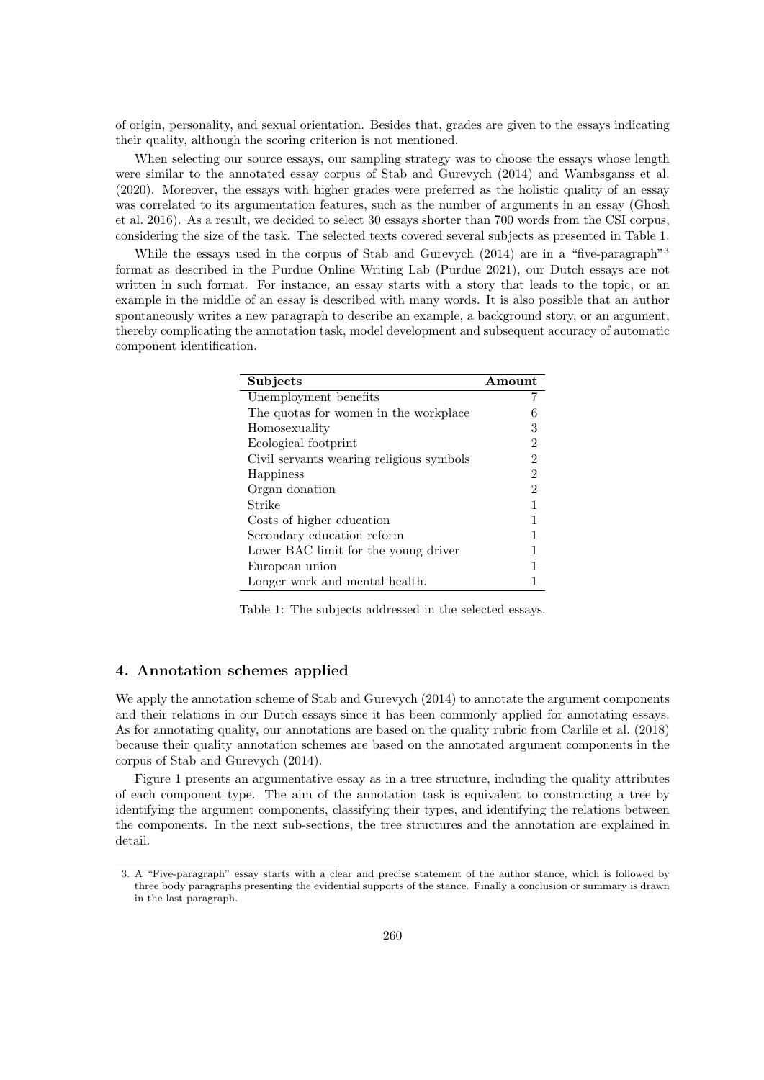of origin, personality, and sexual orientation. Besides that, grades are given to the essays indicating their quality, although the scoring criterion is not mentioned.

When selecting our source essays, our sampling strategy was to choose the essays whose length were similar to the annotated essay corpus of Stab and Gurevych (2014) and Wambsganss et al. (2020). Moreover, the essays with higher grades were preferred as the holistic quality of an essay was correlated to its argumentation features, such as the number of arguments in an essay (Ghosh et al. 2016). As a result, we decided to select 30 essays shorter than 700 words from the CSI corpus, considering the size of the task. The selected texts covered several subjects as presented in Table 1.

While the essays used in the corpus of Stab and Gurevych (2014) are in a "five-paragraph"<sup>3</sup> format as described in the Purdue Online Writing Lab (Purdue 2021), our Dutch essays are not written in such format. For instance, an essay starts with a story that leads to the topic, or an example in the middle of an essay is described with many words. It is also possible that an author spontaneously writes a new paragraph to describe an example, a background story, or an argument, thereby complicating the annotation task, model development and subsequent accuracy of automatic component identification.

| Subjects                                 | A mount |
|------------------------------------------|---------|
| Unemployment benefits                    |         |
| The quotas for women in the workplace    |         |
| Homosexuality                            | 3       |
| Ecological footprint                     | 2       |
| Civil servants wearing religious symbols | 2       |
| Happiness                                | 2       |
| Organ donation                           | 2       |
| Strike                                   |         |
| Costs of higher education                |         |
| Secondary education reform               |         |
| Lower BAC limit for the young driver     |         |
| European union                           |         |
| Longer work and mental health.           |         |

Table 1: The subjects addressed in the selected essays.

## 4. Annotation schemes applied

We apply the annotation scheme of Stab and Gurevych  $(2014)$  to annotate the argument components and their relations in our Dutch essays since it has been commonly applied for annotating essays. As for annotating quality, our annotations are based on the quality rubric from Carlile et al. (2018) because their quality annotation schemes are based on the annotated argument components in the corpus of Stab and Gurevych (2014).

Figure 1 presents an argumentative essay as in a tree structure, including the quality attributes of each component type. The aim of the annotation task is equivalent to constructing a tree by identifying the argument components, classifying their types, and identifying the relations between the components. In the next sub-sections, the tree structures and the annotation are explained in detail.

<sup>3.</sup> A "Five-paragraph" essay starts with a clear and precise statement of the author stance, which is followed by three body paragraphs presenting the evidential supports of the stance. Finally a conclusion or summary is drawn in the last paragraph.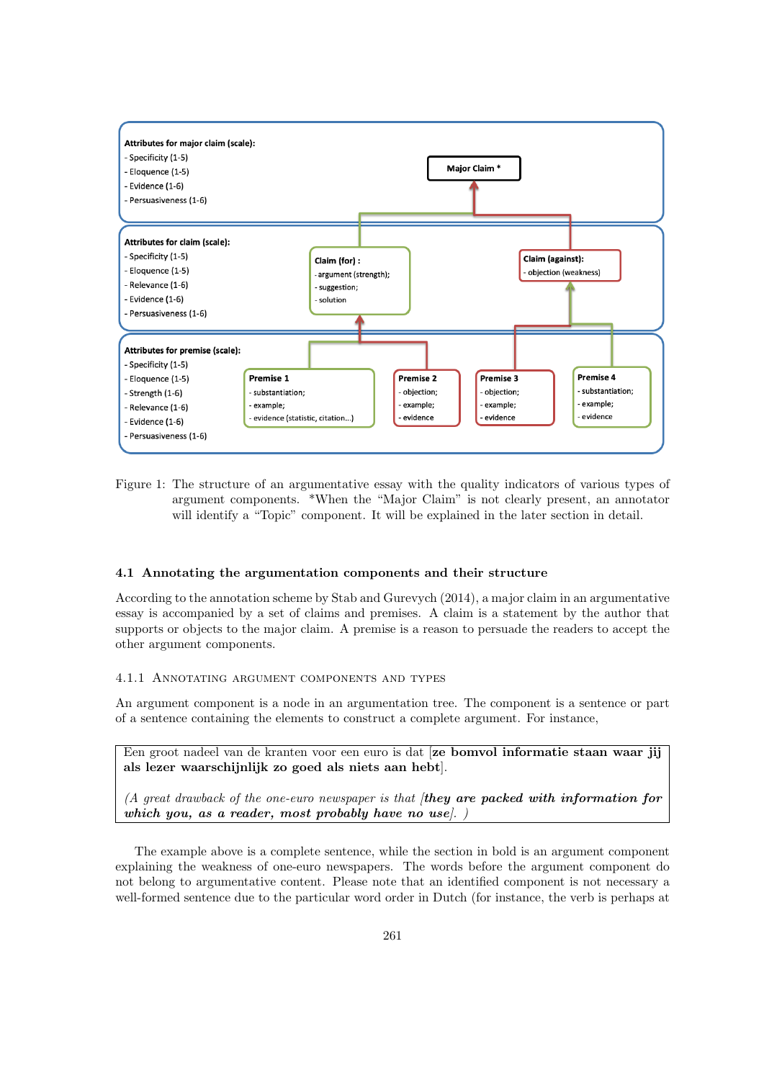

Figure 1: The structure of an argumentative essay with the quality indicators of various types of argument components. \*When the "Major Claim" is not clearly present, an annotator will identify a "Topic" component. It will be explained in the later section in detail.

## 4.1 Annotating the argumentation components and their structure

According to the annotation scheme by Stab and Gurevych (2014), a major claim in an argumentative essay is accompanied by a set of claims and premises. A claim is a statement by the author that supports or objects to the major claim. A premise is a reason to persuade the readers to accept the other argument components.

## 4.1.1 Annotating argument components and types

An argument component is a node in an argumentation tree. The component is a sentence or part of a sentence containing the elements to construct a complete argument. For instance,

Een groot nadeel van de kranten voor een euro is dat [ze bomvol informatie staan waar jij als lezer waarschijnlijk zo goed als niets aan hebt].

 $(A)$  great drawback of the one-euro newspaper is that  $(A)$  are packed with information for which you, as a reader, most probably have no use.

The example above is a complete sentence, while the section in bold is an argument component explaining the weakness of one-euro newspapers. The words before the argument component do not belong to argumentative content. Please note that an identified component is not necessary a well-formed sentence due to the particular word order in Dutch (for instance, the verb is perhaps at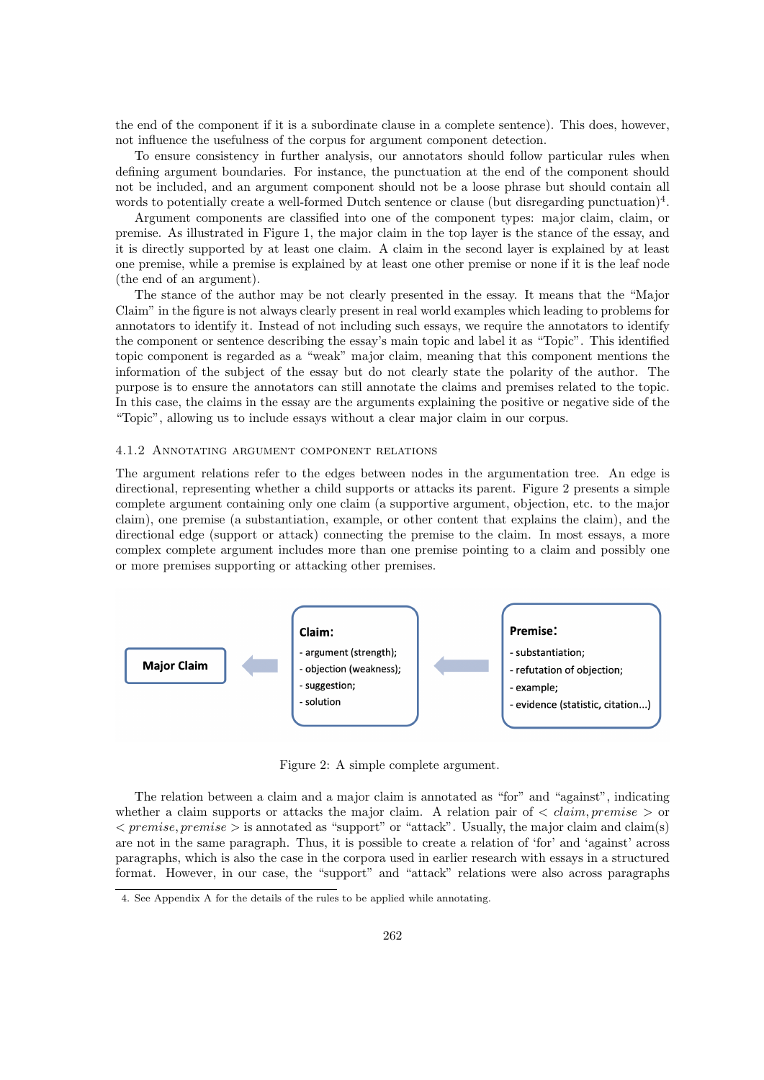the end of the component if it is a subordinate clause in a complete sentence). This does, however, not influence the usefulness of the corpus for argument component detection.

To ensure consistency in further analysis, our annotators should follow particular rules when defining argument boundaries. For instance, the punctuation at the end of the component should not be included, and an argument component should not be a loose phrase but should contain all words to potentially create a well-formed Dutch sentence or clause (but disregarding punctuation)<sup>4</sup>.

Argument components are classified into one of the component types: major claim, claim, or premise. As illustrated in Figure 1, the major claim in the top layer is the stance of the essay, and it is directly supported by at least one claim. A claim in the second layer is explained by at least one premise, while a premise is explained by at least one other premise or none if it is the leaf node (the end of an argument).

The stance of the author may be not clearly presented in the essay. It means that the "Major Claim" in the figure is not always clearly present in real world examples which leading to problems for annotators to identify it. Instead of not including such essays, we require the annotators to identify the component or sentence describing the essay's main topic and label it as "Topic". This identified topic component is regarded as a "weak" major claim, meaning that this component mentions the information of the subject of the essay but do not clearly state the polarity of the author. The purpose is to ensure the annotators can still annotate the claims and premises related to the topic. In this case, the claims in the essay are the arguments explaining the positive or negative side of the "Topic", allowing us to include essays without a clear major claim in our corpus.

#### 4.1.2 Annotating argument component relations

The argument relations refer to the edges between nodes in the argumentation tree. An edge is directional, representing whether a child supports or attacks its parent. Figure 2 presents a simple complete argument containing only one claim (a supportive argument, objection, etc. to the major claim), one premise (a substantiation, example, or other content that explains the claim), and the directional edge (support or attack) connecting the premise to the claim. In most essays, a more complex complete argument includes more than one premise pointing to a claim and possibly one or more premises supporting or attacking other premises.



Figure 2: A simple complete argument.

The relation between a claim and a major claim is annotated as "for" and "against", indicating whether a claim supports or attacks the major claim. A relation pair of  $\langle claim, premise \rangle$  or  $\langle$  premise, premise  $>$  is annotated as "support" or "attack". Usually, the major claim and claim(s) are not in the same paragraph. Thus, it is possible to create a relation of 'for' and 'against' across paragraphs, which is also the case in the corpora used in earlier research with essays in a structured format. However, in our case, the "support" and "attack" relations were also across paragraphs

<sup>4.</sup> See Appendix A for the details of the rules to be applied while annotating.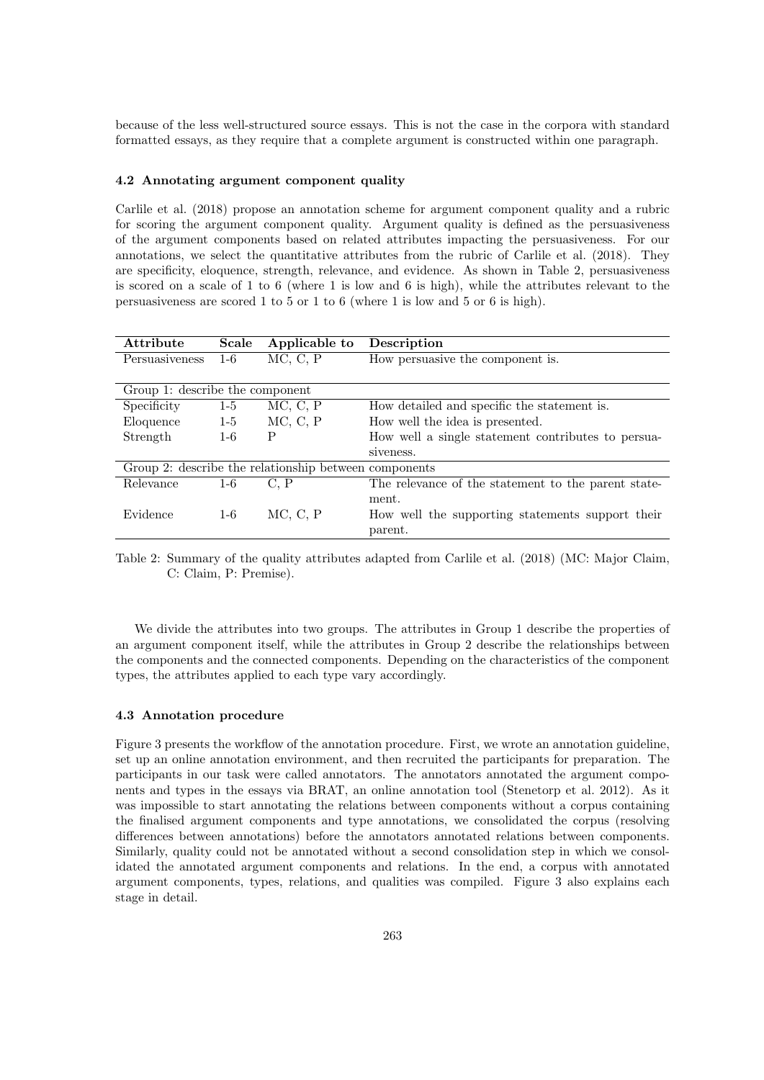because of the less well-structured source essays. This is not the case in the corpora with standard formatted essays, as they require that a complete argument is constructed within one paragraph.

### 4.2 Annotating argument component quality

Carlile et al. (2018) propose an annotation scheme for argument component quality and a rubric for scoring the argument component quality. Argument quality is defined as the persuasiveness of the argument components based on related attributes impacting the persuasiveness. For our annotations, we select the quantitative attributes from the rubric of Carlile et al. (2018). They are specificity, eloquence, strength, relevance, and evidence. As shown in Table 2, persuasiveness is scored on a scale of 1 to 6 (where 1 is low and 6 is high), while the attributes relevant to the persuasiveness are scored 1 to 5 or 1 to 6 (where 1 is low and 5 or 6 is high).

| Attribute                                             | Scale | Applicable to | Description                                         |
|-------------------------------------------------------|-------|---------------|-----------------------------------------------------|
| Persuasiveness                                        | $1-6$ | MC, C, P      | How persuasive the component is.                    |
|                                                       |       |               |                                                     |
| Group 1: describe the component                       |       |               |                                                     |
| Specificity                                           | $1-5$ | MC, C, P      | How detailed and specific the statement is.         |
| Eloquence                                             | $1-5$ | MC, C, P      | How well the idea is presented.                     |
| Strength                                              | $1-6$ | P             | How well a single statement contributes to persua-  |
|                                                       |       |               | siveness.                                           |
| Group 2: describe the relationship between components |       |               |                                                     |
| Relevance                                             | $1-6$ | C. P          | The relevance of the statement to the parent state- |
|                                                       |       |               | ment.                                               |
| Evidence                                              | $1-6$ | MC, C, P      | How well the supporting statements support their    |
|                                                       |       |               | parent.                                             |

Table 2: Summary of the quality attributes adapted from Carlile et al. (2018) (MC: Major Claim, C: Claim, P: Premise).

We divide the attributes into two groups. The attributes in Group 1 describe the properties of an argument component itself, while the attributes in Group 2 describe the relationships between the components and the connected components. Depending on the characteristics of the component types, the attributes applied to each type vary accordingly.

## 4.3 Annotation procedure

Figure 3 presents the workflow of the annotation procedure. First, we wrote an annotation guideline, set up an online annotation environment, and then recruited the participants for preparation. The participants in our task were called annotators. The annotators annotated the argument components and types in the essays via BRAT, an online annotation tool (Stenetorp et al. 2012). As it was impossible to start annotating the relations between components without a corpus containing the finalised argument components and type annotations, we consolidated the corpus (resolving differences between annotations) before the annotators annotated relations between components. Similarly, quality could not be annotated without a second consolidation step in which we consolidated the annotated argument components and relations. In the end, a corpus with annotated argument components, types, relations, and qualities was compiled. Figure 3 also explains each stage in detail.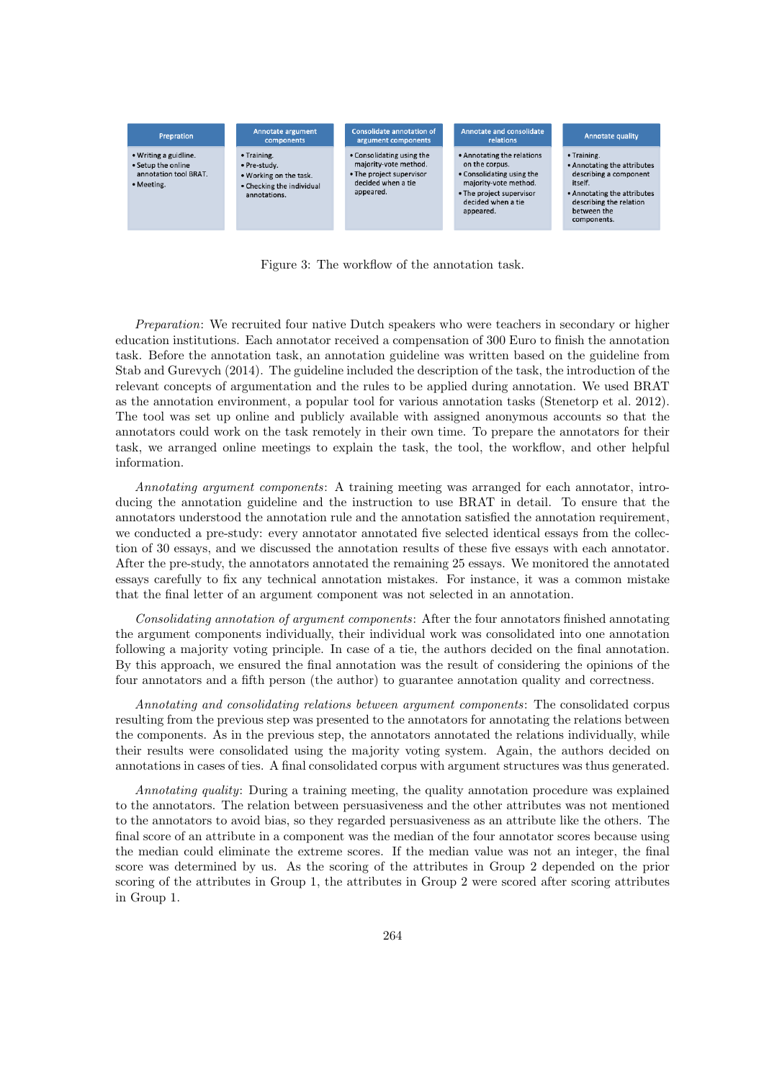

Figure 3: The workflow of the annotation task.

Preparation: We recruited four native Dutch speakers who were teachers in secondary or higher education institutions. Each annotator received a compensation of 300 Euro to finish the annotation task. Before the annotation task, an annotation guideline was written based on the guideline from Stab and Gurevych (2014). The guideline included the description of the task, the introduction of the relevant concepts of argumentation and the rules to be applied during annotation. We used BRAT as the annotation environment, a popular tool for various annotation tasks (Stenetorp et al. 2012). The tool was set up online and publicly available with assigned anonymous accounts so that the annotators could work on the task remotely in their own time. To prepare the annotators for their task, we arranged online meetings to explain the task, the tool, the workflow, and other helpful information.

Annotating argument components: A training meeting was arranged for each annotator, introducing the annotation guideline and the instruction to use BRAT in detail. To ensure that the annotators understood the annotation rule and the annotation satisfied the annotation requirement, we conducted a pre-study: every annotator annotated five selected identical essays from the collection of 30 essays, and we discussed the annotation results of these five essays with each annotator. After the pre-study, the annotators annotated the remaining 25 essays. We monitored the annotated essays carefully to fix any technical annotation mistakes. For instance, it was a common mistake that the final letter of an argument component was not selected in an annotation.

Consolidating annotation of argument components: After the four annotators finished annotating the argument components individually, their individual work was consolidated into one annotation following a majority voting principle. In case of a tie, the authors decided on the final annotation. By this approach, we ensured the final annotation was the result of considering the opinions of the four annotators and a fifth person (the author) to guarantee annotation quality and correctness.

Annotating and consolidating relations between argument components: The consolidated corpus resulting from the previous step was presented to the annotators for annotating the relations between the components. As in the previous step, the annotators annotated the relations individually, while their results were consolidated using the majority voting system. Again, the authors decided on annotations in cases of ties. A final consolidated corpus with argument structures was thus generated.

Annotating quality: During a training meeting, the quality annotation procedure was explained to the annotators. The relation between persuasiveness and the other attributes was not mentioned to the annotators to avoid bias, so they regarded persuasiveness as an attribute like the others. The final score of an attribute in a component was the median of the four annotator scores because using the median could eliminate the extreme scores. If the median value was not an integer, the final score was determined by us. As the scoring of the attributes in Group 2 depended on the prior scoring of the attributes in Group 1, the attributes in Group 2 were scored after scoring attributes in Group 1.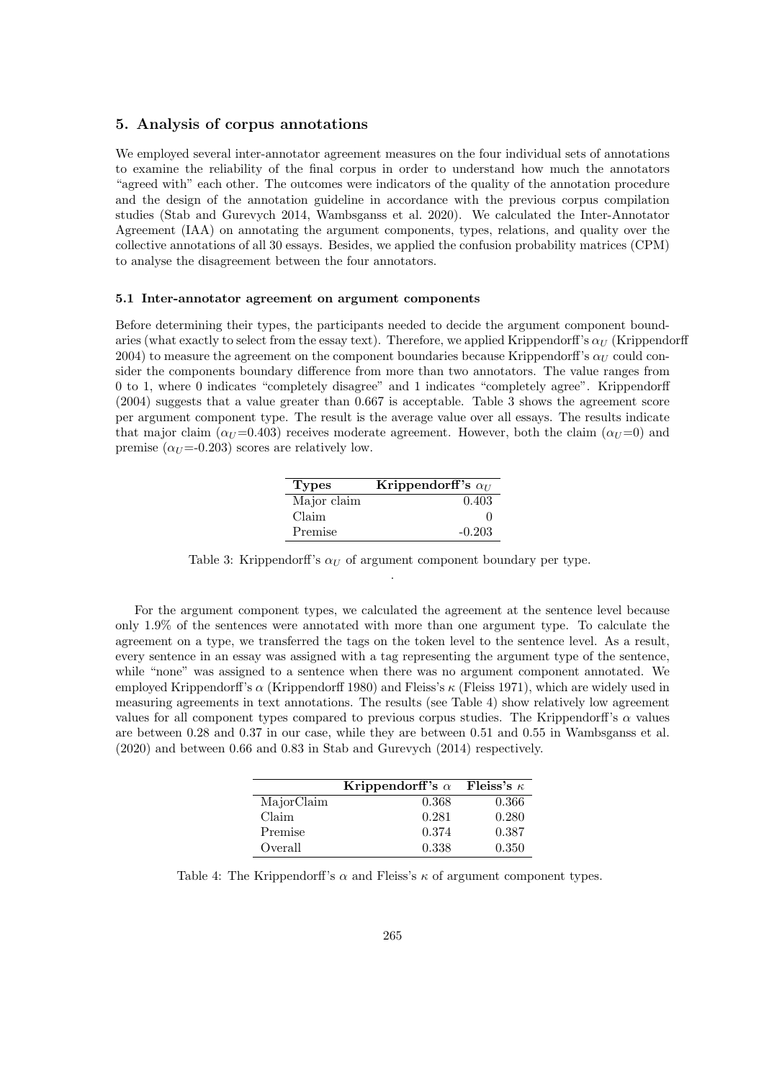## 5. Analysis of corpus annotations

We employed several inter-annotator agreement measures on the four individual sets of annotations to examine the reliability of the final corpus in order to understand how much the annotators "agreed with" each other. The outcomes were indicators of the quality of the annotation procedure and the design of the annotation guideline in accordance with the previous corpus compilation studies (Stab and Gurevych 2014, Wambsganss et al. 2020). We calculated the Inter-Annotator Agreement (IAA) on annotating the argument components, types, relations, and quality over the collective annotations of all 30 essays. Besides, we applied the confusion probability matrices (CPM) to analyse the disagreement between the four annotators.

### 5.1 Inter-annotator agreement on argument components

Before determining their types, the participants needed to decide the argument component boundaries (what exactly to select from the essay text). Therefore, we applied Krippendorff's  $\alpha_U$  (Krippendorff 2004) to measure the agreement on the component boundaries because Krippendorff's  $\alpha_U$  could consider the components boundary difference from more than two annotators. The value ranges from 0 to 1, where 0 indicates "completely disagree" and 1 indicates "completely agree". Krippendorff (2004) suggests that a value greater than 0.667 is acceptable. Table 3 shows the agreement score per argument component type. The result is the average value over all essays. The results indicate that major claim  $(\alpha_{U} = 0.403)$  receives moderate agreement. However, both the claim  $(\alpha_{U} = 0)$  and premise  $(\alpha_U = 0.203)$  scores are relatively low.

| <b>Types</b> | Krippendorff's $\alpha_U$ |
|--------------|---------------------------|
| Major claim  | 0.403                     |
| Claim        |                           |
| Premise      | $-0.203$                  |

Table 3: Krippendorff's  $\alpha_U$  of argument component boundary per type. .

For the argument component types, we calculated the agreement at the sentence level because only 1.9% of the sentences were annotated with more than one argument type. To calculate the agreement on a type, we transferred the tags on the token level to the sentence level. As a result, every sentence in an essay was assigned with a tag representing the argument type of the sentence, while "none" was assigned to a sentence when there was no argument component annotated. We employed Krippendorff's  $\alpha$  (Krippendorff 1980) and Fleiss's  $\kappa$  (Fleiss 1971), which are widely used in measuring agreements in text annotations. The results (see Table 4) show relatively low agreement values for all component types compared to previous corpus studies. The Krippendorff's  $\alpha$  values are between 0.28 and 0.37 in our case, while they are between 0.51 and 0.55 in Wambsganss et al. (2020) and between 0.66 and 0.83 in Stab and Gurevych (2014) respectively.

|            | Krippendorff's $\alpha$ | Fleiss's $\kappa$ |
|------------|-------------------------|-------------------|
| MajorClaim | 0.368                   | 0.366             |
| Claim      | 0.281                   | 0.280             |
| Premise    | 0.374                   | 0.387             |
| Overall    | 0.338                   | 0.350             |

Table 4: The Krippendorff's  $\alpha$  and Fleiss's  $\kappa$  of argument component types.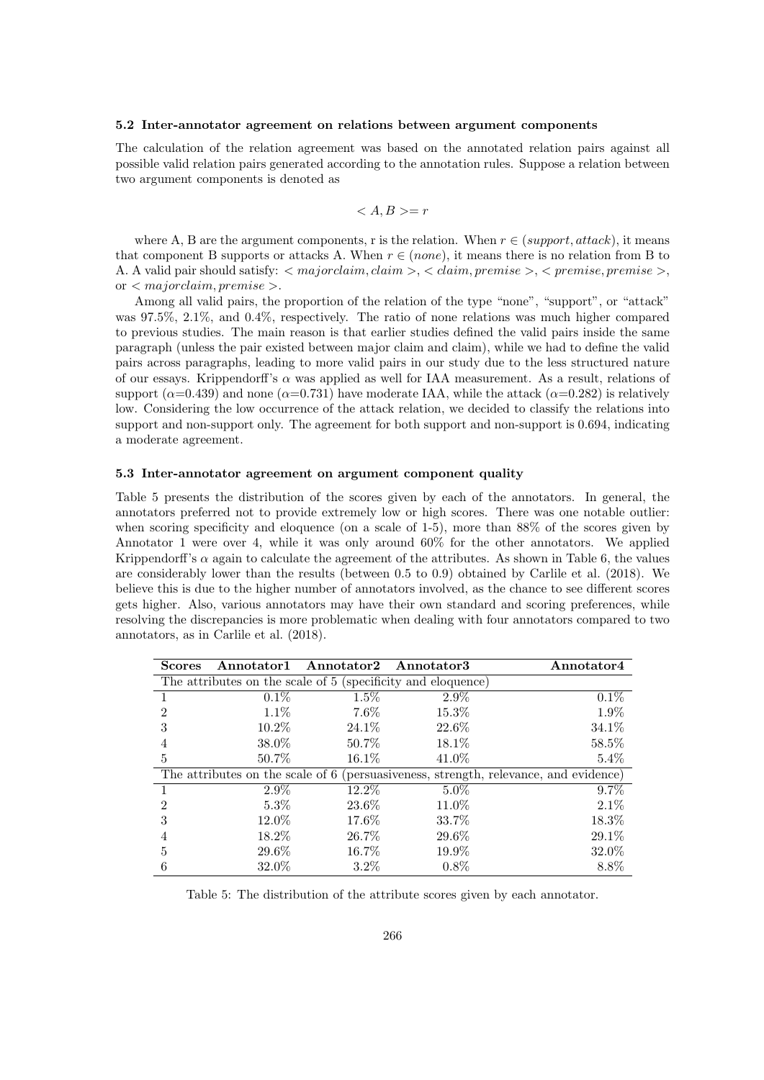#### 5.2 Inter-annotator agreement on relations between argument components

The calculation of the relation agreement was based on the annotated relation pairs against all possible valid relation pairs generated according to the annotation rules. Suppose a relation between two argument components is denoted as

$$
= r
$$

where A, B are the argument components, r is the relation. When  $r \in (support, attack)$ , it means that component B supports or attacks A. When  $r \in (none)$ , it means there is no relation from B to A. A valid pair should satisfy:  $\langle$  majorclaim, claim  $\rangle$ ,  $\langle$  claim, premise  $\rangle$ ,  $\langle$  premise, premise  $\rangle$ , or  $\langle$  majorclaim, premise  $\rangle$ .

Among all valid pairs, the proportion of the relation of the type "none", "support", or "attack" was 97.5%, 2.1%, and 0.4%, respectively. The ratio of none relations was much higher compared to previous studies. The main reason is that earlier studies defined the valid pairs inside the same paragraph (unless the pair existed between major claim and claim), while we had to define the valid pairs across paragraphs, leading to more valid pairs in our study due to the less structured nature of our essays. Krippendorff's  $\alpha$  was applied as well for IAA measurement. As a result, relations of support ( $\alpha$ =0.439) and none ( $\alpha$ =0.731) have moderate IAA, while the attack ( $\alpha$ =0.282) is relatively low. Considering the low occurrence of the attack relation, we decided to classify the relations into support and non-support only. The agreement for both support and non-support is 0.694, indicating a moderate agreement.

#### 5.3 Inter-annotator agreement on argument component quality

Table 5 presents the distribution of the scores given by each of the annotators. In general, the annotators preferred not to provide extremely low or high scores. There was one notable outlier: when scoring specificity and eloquence (on a scale of 1-5), more than 88% of the scores given by Annotator 1 were over 4, while it was only around 60% for the other annotators. We applied Krippendorff's  $\alpha$  again to calculate the agreement of the attributes. As shown in Table 6, the values are considerably lower than the results (between 0.5 to 0.9) obtained by Carlile et al. (2018). We believe this is due to the higher number of annotators involved, as the chance to see different scores gets higher. Also, various annotators may have their own standard and scoring preferences, while resolving the discrepancies is more problematic when dealing with four annotators compared to two annotators, as in Carlile et al. (2018).

| <b>Scores</b>  |          | Annotator1 Annotator2 Annotator3 |                                                              | Annotator4                                                                           |
|----------------|----------|----------------------------------|--------------------------------------------------------------|--------------------------------------------------------------------------------------|
|                |          |                                  | The attributes on the scale of 5 (specificity and eloquence) |                                                                                      |
|                | $0.1\%$  | 1.5%                             | $2.9\%$                                                      | 0.1%                                                                                 |
| $\mathfrak{D}$ | $1.1\%$  | $7.6\%$                          | 15.3%                                                        | 1.9%                                                                                 |
| 3              | $10.2\%$ | 24.1\%                           | 22.6%                                                        | 34.1%                                                                                |
|                | 38.0%    | 50.7\%                           | $18.1\%$                                                     | 58.5%                                                                                |
| 5              | 50.7%    | $16.1\%$                         | 41.0%                                                        | $5.4\%$                                                                              |
|                |          |                                  |                                                              | The attributes on the scale of 6 (persuasiveness, strength, relevance, and evidence) |
|                | $2.9\%$  | $12.2\%$                         | $5.0\%$                                                      | $9.7\%$                                                                              |
| $\overline{2}$ | $5.3\%$  | 23.6%                            | 11.0%                                                        | $2.1\%$                                                                              |
| 3              | 12.0%    | 17.6%                            | 33.7%                                                        | 18.3%                                                                                |
|                | $18.2\%$ | 26.7%                            | 29.6%                                                        | 29.1%                                                                                |
| 5              | 29.6%    | 16.7%                            | 19.9%                                                        | 32.0%                                                                                |
| 6              | 32.0%    | $3.2\%$                          | $0.8\%$                                                      | 8.8%                                                                                 |

Table 5: The distribution of the attribute scores given by each annotator.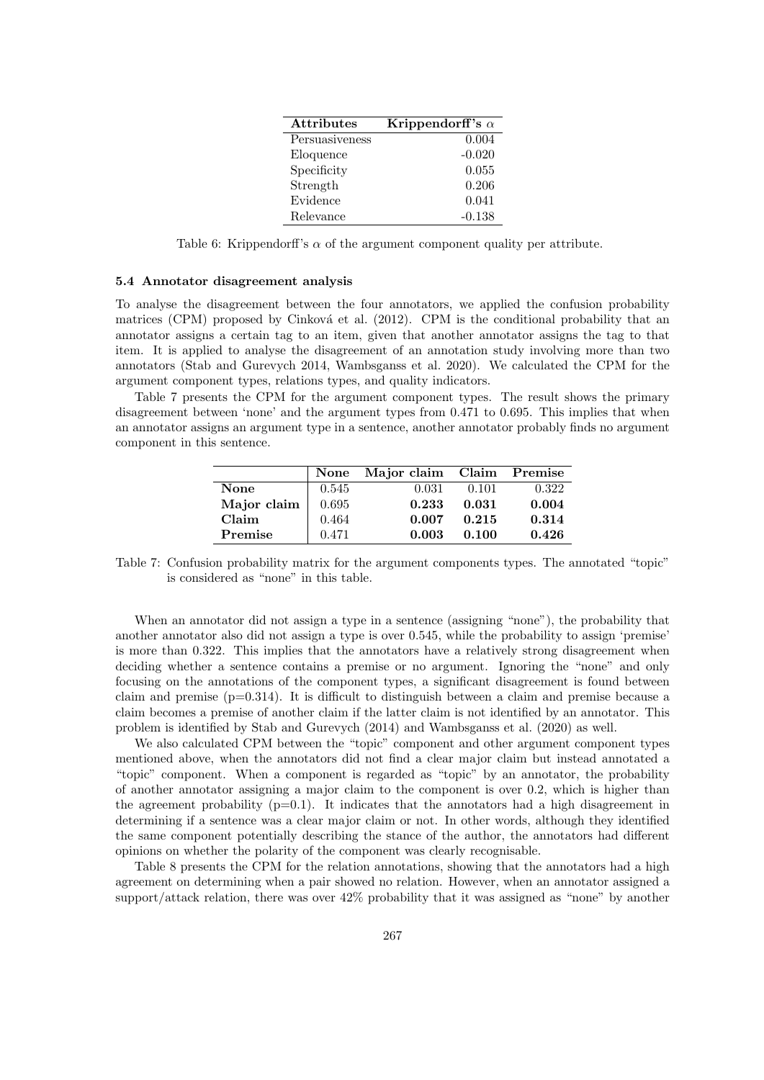| <b>Attributes</b> | Krippendorff's $\alpha$ |
|-------------------|-------------------------|
| Persuasiveness    | 0.004                   |
| Eloquence         | $-0.020$                |
| Specificity       | 0.055                   |
| Strength          | 0.206                   |
| Evidence          | 0.041                   |
| Relevance         | $-0.138$                |

Table 6: Krippendorff's  $\alpha$  of the argument component quality per attribute.

### 5.4 Annotator disagreement analysis

To analyse the disagreement between the four annotators, we applied the confusion probability matrices (CPM) proposed by Cinková et al.  $(2012)$ . CPM is the conditional probability that an annotator assigns a certain tag to an item, given that another annotator assigns the tag to that item. It is applied to analyse the disagreement of an annotation study involving more than two annotators (Stab and Gurevych 2014, Wambsganss et al. 2020). We calculated the CPM for the argument component types, relations types, and quality indicators.

Table 7 presents the CPM for the argument component types. The result shows the primary disagreement between 'none' and the argument types from 0.471 to 0.695. This implies that when an annotator assigns an argument type in a sentence, another annotator probably finds no argument component in this sentence.

|             |       | None Major claim Claim Premise |       |       |
|-------------|-------|--------------------------------|-------|-------|
| <b>None</b> | 0.545 | 0.031                          | 0.101 | 0.322 |
| Major claim | 0.695 | 0.233                          | 0.031 | 0.004 |
| Claim       | 0.464 | 0.007                          | 0.215 | 0.314 |
| Premise     | 0.471 | 0.003                          | 0.100 | 0.426 |

Table 7: Confusion probability matrix for the argument components types. The annotated "topic" is considered as "none" in this table.

When an annotator did not assign a type in a sentence (assigning "none"), the probability that another annotator also did not assign a type is over 0.545, while the probability to assign 'premise' is more than 0.322. This implies that the annotators have a relatively strong disagreement when deciding whether a sentence contains a premise or no argument. Ignoring the "none" and only focusing on the annotations of the component types, a significant disagreement is found between claim and premise (p=0.314). It is difficult to distinguish between a claim and premise because a claim becomes a premise of another claim if the latter claim is not identified by an annotator. This problem is identified by Stab and Gurevych (2014) and Wambsganss et al. (2020) as well.

We also calculated CPM between the "topic" component and other argument component types mentioned above, when the annotators did not find a clear major claim but instead annotated a "topic" component. When a component is regarded as "topic" by an annotator, the probability of another annotator assigning a major claim to the component is over 0.2, which is higher than the agreement probability  $(p=0.1)$ . It indicates that the annotators had a high disagreement in determining if a sentence was a clear major claim or not. In other words, although they identified the same component potentially describing the stance of the author, the annotators had different opinions on whether the polarity of the component was clearly recognisable.

Table 8 presents the CPM for the relation annotations, showing that the annotators had a high agreement on determining when a pair showed no relation. However, when an annotator assigned a support/attack relation, there was over 42% probability that it was assigned as "none" by another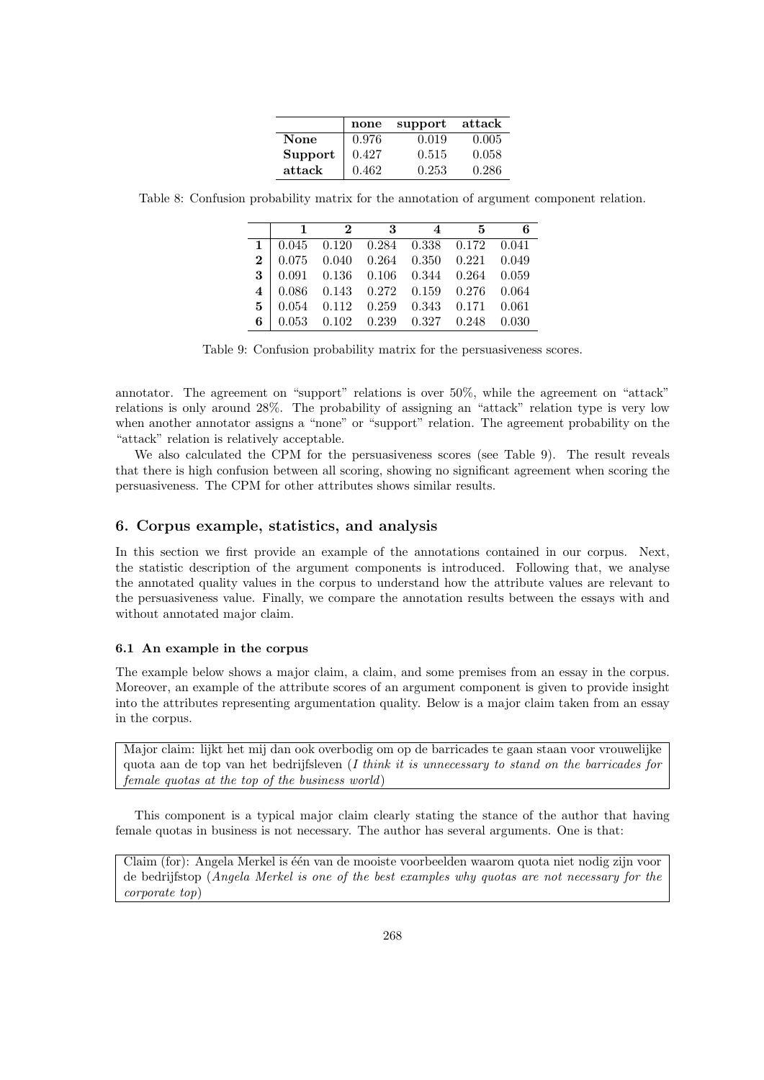|         | none  | support | attack |
|---------|-------|---------|--------|
| None    | 0.976 | 0.019   | 0.005  |
| Support | 0.427 | 0.515   | 0.058  |
| attack  | 0.462 | 0.253   | 0.286  |

Table 8: Confusion probability matrix for the annotation of argument component relation.

| $\mathbf{1}$ | $\mathbf{r}$ | $3-$ | 4 5                                                 | 6 |
|--------------|--------------|------|-----------------------------------------------------|---|
|              |              |      | $1   0.045 0.120 0.284 0.338 0.172 0.041$           |   |
|              |              |      | $2   0.075 0.040 0.264 0.350 0.221 0.049$           |   |
|              |              |      | $3   0.091   0.136   0.106   0.344   0.264   0.059$ |   |
|              |              |      | $4   0.086   0.143   0.272   0.159   0.276   0.064$ |   |
|              |              |      | $\mathbf{5}$   0.054 0.112 0.259 0.343 0.171 0.061  |   |
|              |              |      | 6   $0.053$ $0.102$ $0.239$ $0.327$ $0.248$ $0.030$ |   |

Table 9: Confusion probability matrix for the persuasiveness scores.

annotator. The agreement on "support" relations is over 50%, while the agreement on "attack" relations is only around 28%. The probability of assigning an "attack" relation type is very low when another annotator assigns a "none" or "support" relation. The agreement probability on the "attack" relation is relatively acceptable.

We also calculated the CPM for the persuasiveness scores (see Table 9). The result reveals that there is high confusion between all scoring, showing no significant agreement when scoring the persuasiveness. The CPM for other attributes shows similar results.

## 6. Corpus example, statistics, and analysis

In this section we first provide an example of the annotations contained in our corpus. Next, the statistic description of the argument components is introduced. Following that, we analyse the annotated quality values in the corpus to understand how the attribute values are relevant to the persuasiveness value. Finally, we compare the annotation results between the essays with and without annotated major claim.

## 6.1 An example in the corpus

The example below shows a major claim, a claim, and some premises from an essay in the corpus. Moreover, an example of the attribute scores of an argument component is given to provide insight into the attributes representing argumentation quality. Below is a major claim taken from an essay in the corpus.

Major claim: lijkt het mij dan ook overbodig om op de barricades te gaan staan voor vrouwelijke quota aan de top van het bedrijfsleven (I think it is unnecessary to stand on the barricades for female quotas at the top of the business world)

This component is a typical major claim clearly stating the stance of the author that having female quotas in business is not necessary. The author has several arguments. One is that:

Claim (for): Angela Merkel is één van de mooiste voorbeelden waarom quota niet nodig zijn voor de bedrijfstop (Angela Merkel is one of the best examples why quotas are not necessary for the corporate top)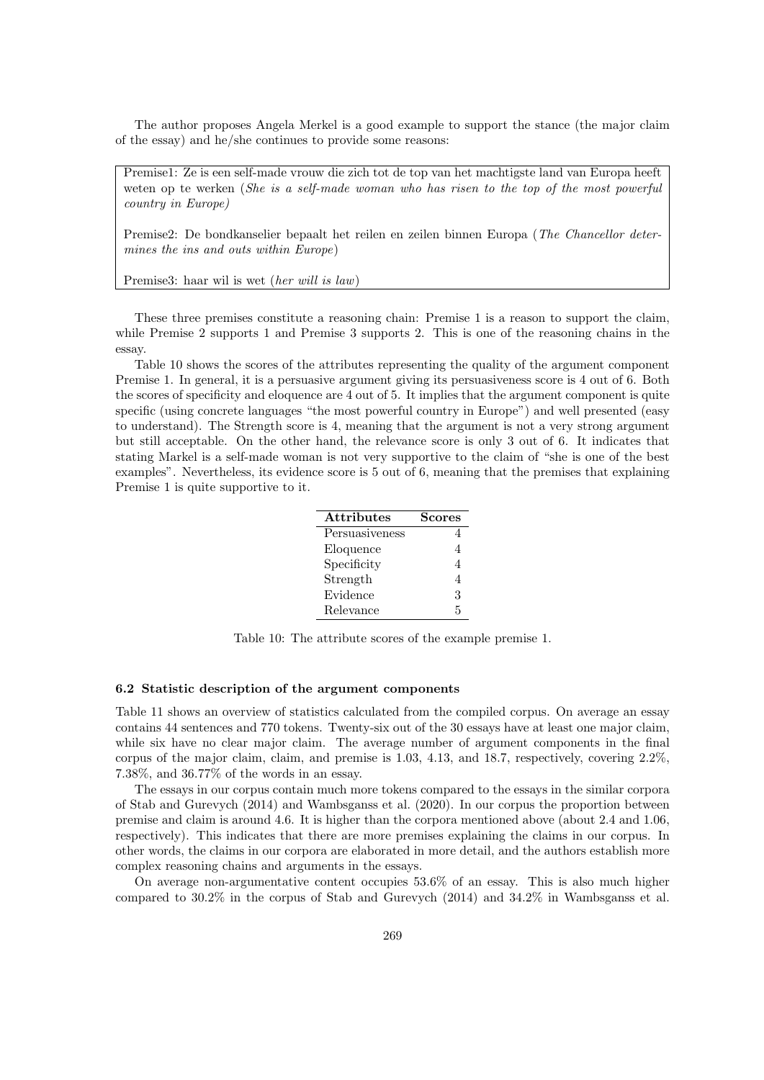The author proposes Angela Merkel is a good example to support the stance (the major claim of the essay) and he/she continues to provide some reasons:

Premise1: Ze is een self-made vrouw die zich tot de top van het machtigste land van Europa heeft weten op te werken (She is a self-made woman who has risen to the top of the most powerful country in Europe)

Premise2: De bondkanselier bepaalt het reilen en zeilen binnen Europa (The Chancellor determines the ins and outs within Europe)

Premise3: haar wil is wet (her will is law)

These three premises constitute a reasoning chain: Premise 1 is a reason to support the claim, while Premise 2 supports 1 and Premise 3 supports 2. This is one of the reasoning chains in the essay.

Table 10 shows the scores of the attributes representing the quality of the argument component Premise 1. In general, it is a persuasive argument giving its persuasiveness score is 4 out of 6. Both the scores of specificity and eloquence are 4 out of 5. It implies that the argument component is quite specific (using concrete languages "the most powerful country in Europe") and well presented (easy to understand). The Strength score is 4, meaning that the argument is not a very strong argument but still acceptable. On the other hand, the relevance score is only 3 out of 6. It indicates that stating Markel is a self-made woman is not very supportive to the claim of "she is one of the best examples". Nevertheless, its evidence score is 5 out of 6, meaning that the premises that explaining Premise 1 is quite supportive to it.

| <b>Attributes</b> | Scores |
|-------------------|--------|
| Persuasiveness    |        |
| Eloquence         |        |
| Specificity       | 4      |
| Strength          | 4      |
| Evidence          | 3      |
| Relevance         | 5      |

Table 10: The attribute scores of the example premise 1.

#### 6.2 Statistic description of the argument components

Table 11 shows an overview of statistics calculated from the compiled corpus. On average an essay contains 44 sentences and 770 tokens. Twenty-six out of the 30 essays have at least one major claim, while six have no clear major claim. The average number of argument components in the final corpus of the major claim, claim, and premise is 1.03, 4.13, and 18.7, respectively, covering 2.2%, 7.38%, and 36.77% of the words in an essay.

The essays in our corpus contain much more tokens compared to the essays in the similar corpora of Stab and Gurevych (2014) and Wambsganss et al. (2020). In our corpus the proportion between premise and claim is around 4.6. It is higher than the corpora mentioned above (about 2.4 and 1.06, respectively). This indicates that there are more premises explaining the claims in our corpus. In other words, the claims in our corpora are elaborated in more detail, and the authors establish more complex reasoning chains and arguments in the essays.

On average non-argumentative content occupies 53.6% of an essay. This is also much higher compared to 30.2% in the corpus of Stab and Gurevych (2014) and 34.2% in Wambsganss et al.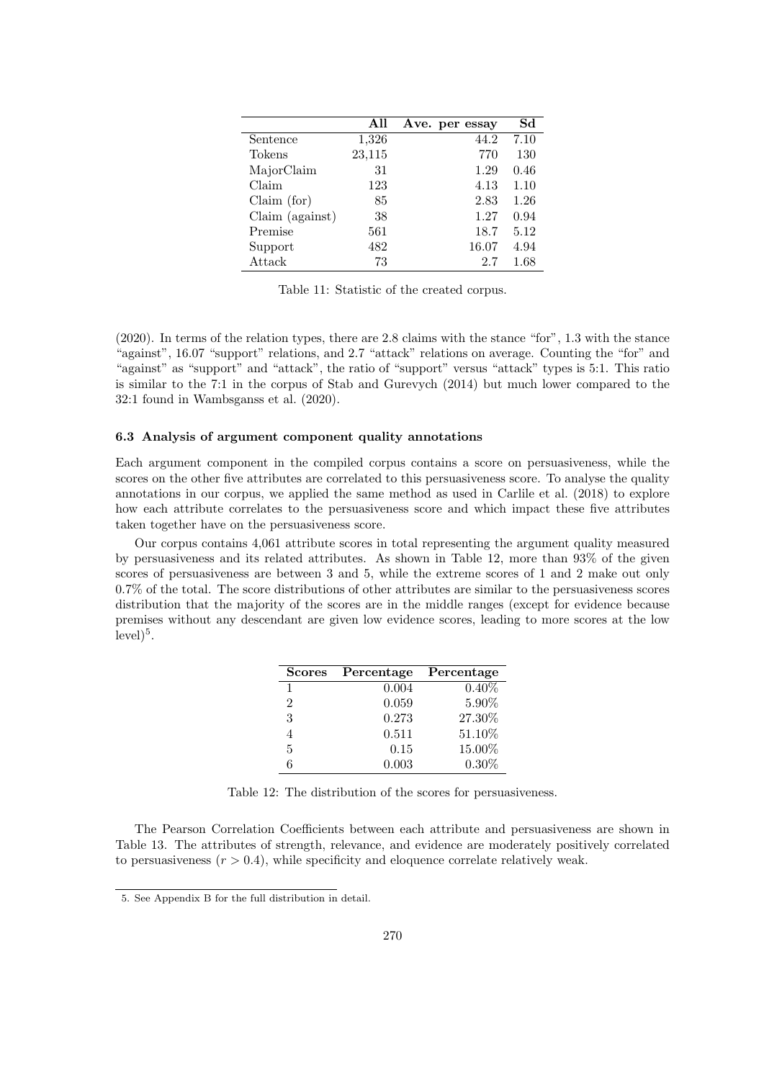|                 | All    | Ave. per essay | Sd   |
|-----------------|--------|----------------|------|
| Sentence        | 1,326  | 44.2           | 7.10 |
| Tokens          | 23,115 | 770            | 130  |
| MajorClaim      | 31     | 1.29           | 0.46 |
| Claim           | 123    | 4.13           | 1.10 |
| Claim (for)     | 85     | 2.83           | 1.26 |
| Claim (against) | 38     | 1.27           | 0.94 |
| Premise         | 561    | 18.7           | 5.12 |
| Support         | 482    | 16.07          | 4.94 |
| Attack          | 73     | 2.7            | 1.68 |

Table 11: Statistic of the created corpus.

(2020). In terms of the relation types, there are 2.8 claims with the stance "for", 1.3 with the stance "against", 16.07 "support" relations, and 2.7 "attack" relations on average. Counting the "for" and "against" as "support" and "attack", the ratio of "support" versus "attack" types is 5:1. This ratio is similar to the 7:1 in the corpus of Stab and Gurevych (2014) but much lower compared to the 32:1 found in Wambsganss et al. (2020).

### 6.3 Analysis of argument component quality annotations

Each argument component in the compiled corpus contains a score on persuasiveness, while the scores on the other five attributes are correlated to this persuasiveness score. To analyse the quality annotations in our corpus, we applied the same method as used in Carlile et al. (2018) to explore how each attribute correlates to the persuasiveness score and which impact these five attributes taken together have on the persuasiveness score.

Our corpus contains 4,061 attribute scores in total representing the argument quality measured by persuasiveness and its related attributes. As shown in Table 12, more than 93% of the given scores of persuasiveness are between 3 and 5, while the extreme scores of 1 and 2 make out only 0.7% of the total. The score distributions of other attributes are similar to the persuasiveness scores distribution that the majority of the scores are in the middle ranges (except for evidence because premises without any descendant are given low evidence scores, leading to more scores at the low  $level)^5$ .

| <b>Scores</b> | Percentage | Percentage |
|---------------|------------|------------|
| 1             | 0.004      | $0.40\%$   |
| 2             | 0.059      | 5.90%      |
| 3             | 0.273      | 27.30%     |
|               | 0.511      | 51.10%     |
| 5             | 0.15       | 15.00%     |
| ճ             | 0.003      | $0.30\%$   |

Table 12: The distribution of the scores for persuasiveness.

The Pearson Correlation Coefficients between each attribute and persuasiveness are shown in Table 13. The attributes of strength, relevance, and evidence are moderately positively correlated to persuasiveness  $(r > 0.4)$ , while specificity and eloquence correlate relatively weak.

<sup>5.</sup> See Appendix B for the full distribution in detail.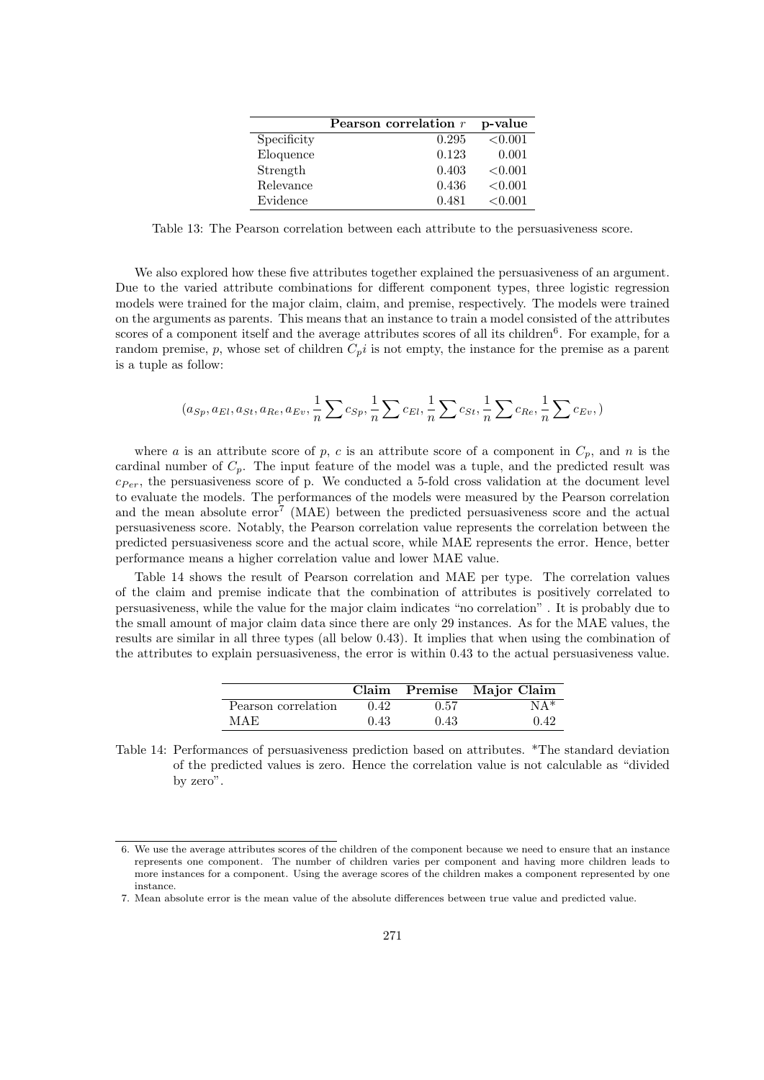|             | Pearson correlation $r$ | p-value |
|-------------|-------------------------|---------|
| Specificity | 0.295                   | < 0.001 |
| Eloquence   | 0.123                   | 0.001   |
| Strength    | 0.403                   | < 0.001 |
| Relevance   | 0.436                   | < 0.001 |
| Evidence    | 0.481                   | < 0.001 |

Table 13: The Pearson correlation between each attribute to the persuasiveness score.

We also explored how these five attributes together explained the persuasiveness of an argument. Due to the varied attribute combinations for different component types, three logistic regression models were trained for the major claim, claim, and premise, respectively. The models were trained on the arguments as parents. This means that an instance to train a model consisted of the attributes scores of a component itself and the average attributes scores of all its children<sup>6</sup>. For example, for a random premise, p, whose set of children  $C_p i$  is not empty, the instance for the premise as a parent is a tuple as follow:

$$
(a_{Sp}, a_{El}, a_{St}, a_{Re}, a_{Ev}, \frac{1}{n} \sum c_{Sp}, \frac{1}{n} \sum c_{El}, \frac{1}{n} \sum c_{St}, \frac{1}{n} \sum c_{Re}, \frac{1}{n} \sum c_{Ev})
$$

where a is an attribute score of p, c is an attribute score of a component in  $C_p$ , and n is the cardinal number of  $C_p$ . The input feature of the model was a tuple, and the predicted result was  $c_{Per}$ , the persuasiveness score of p. We conducted a 5-fold cross validation at the document level to evaluate the models. The performances of the models were measured by the Pearson correlation and the mean absolute error<sup>7</sup> (MAE) between the predicted persuasiveness score and the actual persuasiveness score. Notably, the Pearson correlation value represents the correlation between the predicted persuasiveness score and the actual score, while MAE represents the error. Hence, better performance means a higher correlation value and lower MAE value.

Table 14 shows the result of Pearson correlation and MAE per type. The correlation values of the claim and premise indicate that the combination of attributes is positively correlated to persuasiveness, while the value for the major claim indicates "no correlation" . It is probably due to the small amount of major claim data since there are only 29 instances. As for the MAE values, the results are similar in all three types (all below 0.43). It implies that when using the combination of the attributes to explain persuasiveness, the error is within 0.43 to the actual persuasiveness value.

|                     |      |      | Claim Premise Major Claim |
|---------------------|------|------|---------------------------|
| Pearson correlation | 0.42 | 0.57 | $NA*$                     |
| MAE                 | 0.43 | 0.43 | 0.42                      |

Table 14: Performances of persuasiveness prediction based on attributes. \*The standard deviation of the predicted values is zero. Hence the correlation value is not calculable as "divided by zero".

<sup>6.</sup> We use the average attributes scores of the children of the component because we need to ensure that an instance represents one component. The number of children varies per component and having more children leads to more instances for a component. Using the average scores of the children makes a component represented by one instance.

<sup>7.</sup> Mean absolute error is the mean value of the absolute differences between true value and predicted value.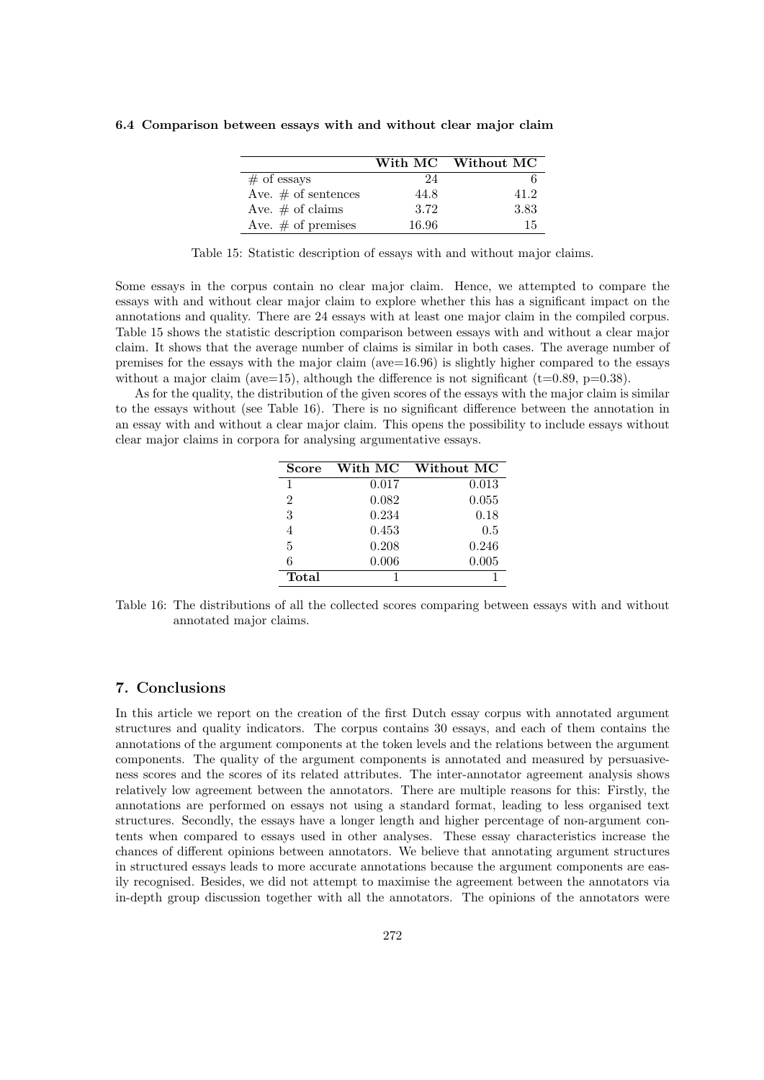|                        |       | With MC Without MC |
|------------------------|-------|--------------------|
| $#$ of essays          | 24    |                    |
| Ave. $\#$ of sentences | 44.8  | 41 2               |
| Ave. $\#$ of claims    | 3.72  | 3.83               |
| Ave. $#$ of premises   | 16.96 | 15                 |

6.4 Comparison between essays with and without clear major claim

Table 15: Statistic description of essays with and without major claims.

Some essays in the corpus contain no clear major claim. Hence, we attempted to compare the essays with and without clear major claim to explore whether this has a significant impact on the annotations and quality. There are 24 essays with at least one major claim in the compiled corpus. Table 15 shows the statistic description comparison between essays with and without a clear major claim. It shows that the average number of claims is similar in both cases. The average number of premises for the essays with the major claim (ave= $16.96$ ) is slightly higher compared to the essays without a major claim (ave=15), although the difference is not significant (t=0.89, p=0.38).

As for the quality, the distribution of the given scores of the essays with the major claim is similar to the essays without (see Table 16). There is no significant difference between the annotation in an essay with and without a clear major claim. This opens the possibility to include essays without clear major claims in corpora for analysing argumentative essays.

| <b>Score</b>   | With MC | Without MC |
|----------------|---------|------------|
| 1              | 0.017   | 0.013      |
| $\overline{2}$ | 0.082   | 0.055      |
| 3              | 0.234   | 0.18       |
| 4              | 0.453   | 0.5        |
| 5              | 0.208   | 0.246      |
| 6              | 0.006   | 0.005      |
| Total          |         |            |

Table 16: The distributions of all the collected scores comparing between essays with and without annotated major claims.

## 7. Conclusions

In this article we report on the creation of the first Dutch essay corpus with annotated argument structures and quality indicators. The corpus contains 30 essays, and each of them contains the annotations of the argument components at the token levels and the relations between the argument components. The quality of the argument components is annotated and measured by persuasiveness scores and the scores of its related attributes. The inter-annotator agreement analysis shows relatively low agreement between the annotators. There are multiple reasons for this: Firstly, the annotations are performed on essays not using a standard format, leading to less organised text structures. Secondly, the essays have a longer length and higher percentage of non-argument contents when compared to essays used in other analyses. These essay characteristics increase the chances of different opinions between annotators. We believe that annotating argument structures in structured essays leads to more accurate annotations because the argument components are easily recognised. Besides, we did not attempt to maximise the agreement between the annotators via in-depth group discussion together with all the annotators. The opinions of the annotators were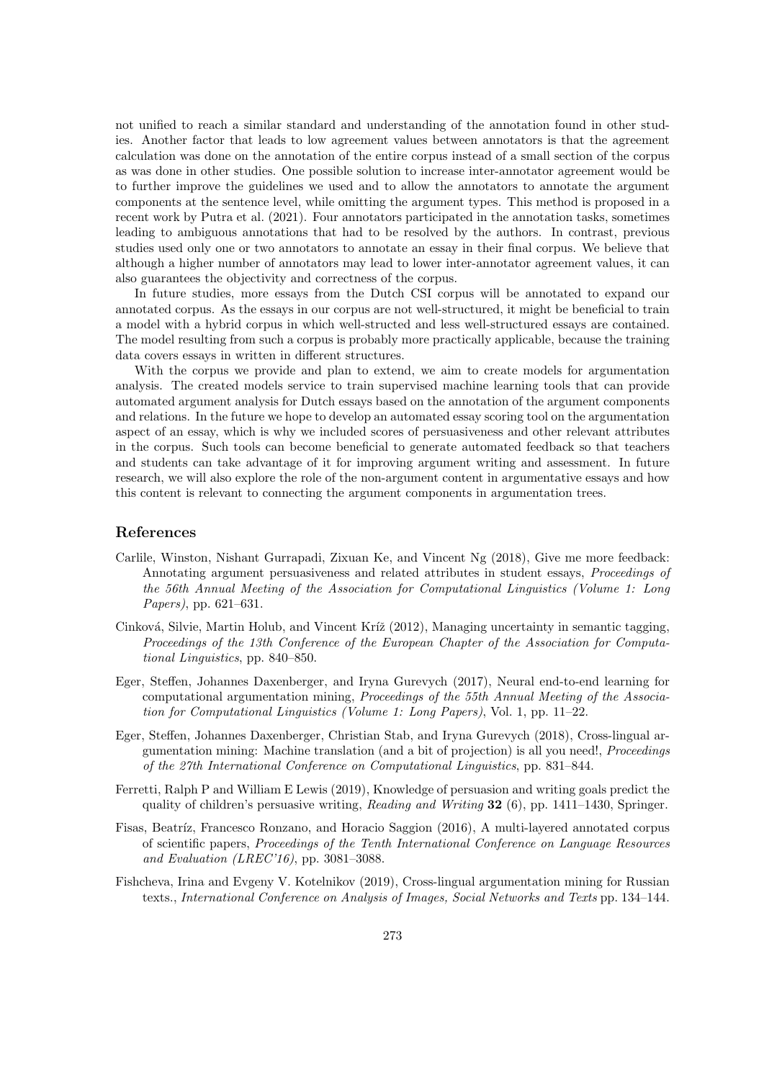not unified to reach a similar standard and understanding of the annotation found in other studies. Another factor that leads to low agreement values between annotators is that the agreement calculation was done on the annotation of the entire corpus instead of a small section of the corpus as was done in other studies. One possible solution to increase inter-annotator agreement would be to further improve the guidelines we used and to allow the annotators to annotate the argument components at the sentence level, while omitting the argument types. This method is proposed in a recent work by Putra et al. (2021). Four annotators participated in the annotation tasks, sometimes leading to ambiguous annotations that had to be resolved by the authors. In contrast, previous studies used only one or two annotators to annotate an essay in their final corpus. We believe that although a higher number of annotators may lead to lower inter-annotator agreement values, it can also guarantees the objectivity and correctness of the corpus.

In future studies, more essays from the Dutch CSI corpus will be annotated to expand our annotated corpus. As the essays in our corpus are not well-structured, it might be beneficial to train a model with a hybrid corpus in which well-structed and less well-structured essays are contained. The model resulting from such a corpus is probably more practically applicable, because the training data covers essays in written in different structures.

With the corpus we provide and plan to extend, we aim to create models for argumentation analysis. The created models service to train supervised machine learning tools that can provide automated argument analysis for Dutch essays based on the annotation of the argument components and relations. In the future we hope to develop an automated essay scoring tool on the argumentation aspect of an essay, which is why we included scores of persuasiveness and other relevant attributes in the corpus. Such tools can become beneficial to generate automated feedback so that teachers and students can take advantage of it for improving argument writing and assessment. In future research, we will also explore the role of the non-argument content in argumentative essays and how this content is relevant to connecting the argument components in argumentation trees.

## References

- Carlile, Winston, Nishant Gurrapadi, Zixuan Ke, and Vincent Ng (2018), Give me more feedback: Annotating argument persuasiveness and related attributes in student essays, Proceedings of the 56th Annual Meeting of the Association for Computational Linguistics (Volume 1: Long Papers), pp. 621–631.
- Cinková, Silvie, Martin Holub, and Vincent Kríž (2012), Managing uncertainty in semantic tagging, Proceedings of the 13th Conference of the European Chapter of the Association for Computational Linguistics, pp. 840–850.
- Eger, Steffen, Johannes Daxenberger, and Iryna Gurevych (2017), Neural end-to-end learning for computational argumentation mining, Proceedings of the 55th Annual Meeting of the Association for Computational Linguistics (Volume 1: Long Papers), Vol. 1, pp. 11–22.
- Eger, Steffen, Johannes Daxenberger, Christian Stab, and Iryna Gurevych (2018), Cross-lingual argumentation mining: Machine translation (and a bit of projection) is all you need!, Proceedings of the 27th International Conference on Computational Linguistics, pp. 831–844.
- Ferretti, Ralph P and William E Lewis (2019), Knowledge of persuasion and writing goals predict the quality of children's persuasive writing, Reading and Writing  $32$  (6), pp. 1411–1430, Springer.
- Fisas, Beatríz, Francesco Ronzano, and Horacio Saggion (2016), A multi-layered annotated corpus of scientific papers, Proceedings of the Tenth International Conference on Language Resources and Evaluation (LREC'16), pp. 3081–3088.
- Fishcheva, Irina and Evgeny V. Kotelnikov (2019), Cross-lingual argumentation mining for Russian texts., International Conference on Analysis of Images, Social Networks and Texts pp. 134–144.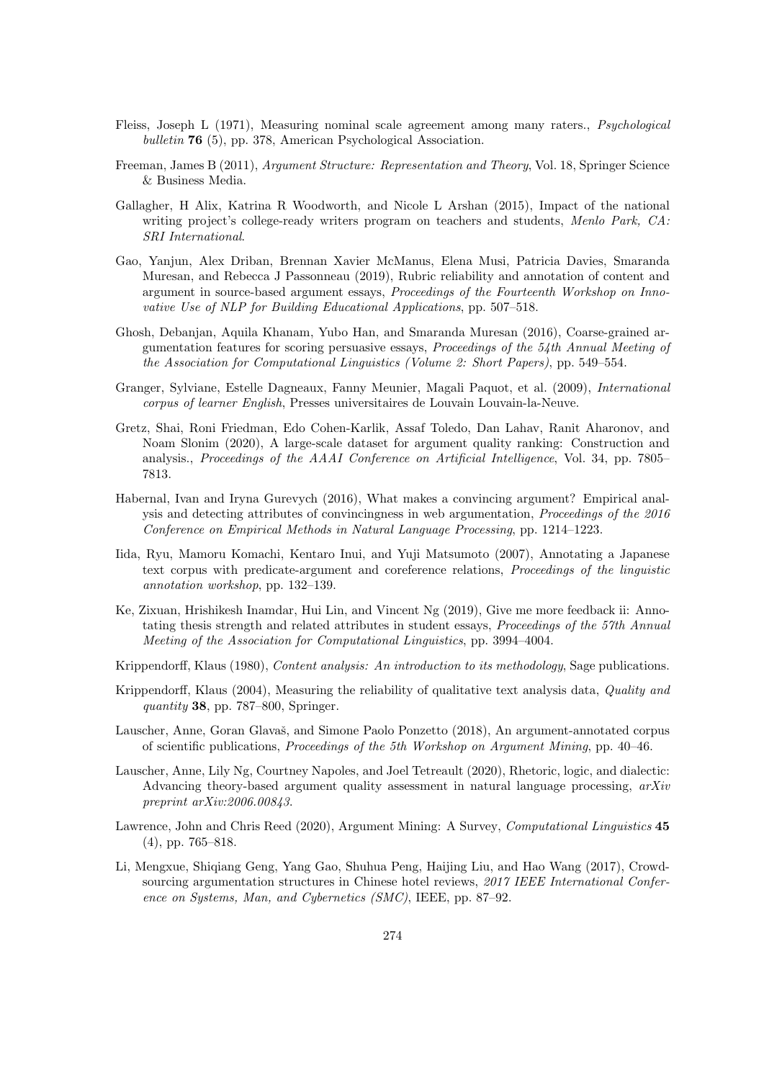- Fleiss, Joseph L (1971), Measuring nominal scale agreement among many raters., Psychological bulletin 76 (5), pp. 378, American Psychological Association.
- Freeman, James B (2011), Argument Structure: Representation and Theory, Vol. 18, Springer Science & Business Media.
- Gallagher, H Alix, Katrina R Woodworth, and Nicole L Arshan (2015), Impact of the national writing project's college-ready writers program on teachers and students, Menlo Park, CA: SRI International.
- Gao, Yanjun, Alex Driban, Brennan Xavier McManus, Elena Musi, Patricia Davies, Smaranda Muresan, and Rebecca J Passonneau (2019), Rubric reliability and annotation of content and argument in source-based argument essays, Proceedings of the Fourteenth Workshop on Innovative Use of NLP for Building Educational Applications, pp. 507–518.
- Ghosh, Debanjan, Aquila Khanam, Yubo Han, and Smaranda Muresan (2016), Coarse-grained argumentation features for scoring persuasive essays, Proceedings of the 54th Annual Meeting of the Association for Computational Linguistics (Volume 2: Short Papers), pp. 549–554.
- Granger, Sylviane, Estelle Dagneaux, Fanny Meunier, Magali Paquot, et al. (2009), International corpus of learner English, Presses universitaires de Louvain Louvain-la-Neuve.
- Gretz, Shai, Roni Friedman, Edo Cohen-Karlik, Assaf Toledo, Dan Lahav, Ranit Aharonov, and Noam Slonim (2020), A large-scale dataset for argument quality ranking: Construction and analysis., Proceedings of the AAAI Conference on Artificial Intelligence, Vol. 34, pp. 7805– 7813.
- Habernal, Ivan and Iryna Gurevych (2016), What makes a convincing argument? Empirical analysis and detecting attributes of convincingness in web argumentation, Proceedings of the 2016 Conference on Empirical Methods in Natural Language Processing, pp. 1214–1223.
- Iida, Ryu, Mamoru Komachi, Kentaro Inui, and Yuji Matsumoto (2007), Annotating a Japanese text corpus with predicate-argument and coreference relations, Proceedings of the linguistic annotation workshop, pp. 132–139.
- Ke, Zixuan, Hrishikesh Inamdar, Hui Lin, and Vincent Ng (2019), Give me more feedback ii: Annotating thesis strength and related attributes in student essays, Proceedings of the 57th Annual Meeting of the Association for Computational Linguistics, pp. 3994–4004.
- Krippendorff, Klaus (1980), Content analysis: An introduction to its methodology, Sage publications.
- Krippendorff, Klaus (2004), Measuring the reliability of qualitative text analysis data, Quality and quantity 38, pp.  $787-800$ , Springer.
- Lauscher, Anne, Goran Glavaš, and Simone Paolo Ponzetto (2018), An argument-annotated corpus of scientific publications, Proceedings of the 5th Workshop on Argument Mining, pp. 40–46.
- Lauscher, Anne, Lily Ng, Courtney Napoles, and Joel Tetreault (2020), Rhetoric, logic, and dialectic: Advancing theory-based argument quality assessment in natural language processing,  $arXiv$ preprint arXiv:2006.00843.
- Lawrence, John and Chris Reed (2020), Argument Mining: A Survey, Computational Linguistics 45 (4), pp. 765–818.
- Li, Mengxue, Shiqiang Geng, Yang Gao, Shuhua Peng, Haijing Liu, and Hao Wang (2017), Crowdsourcing argumentation structures in Chinese hotel reviews, 2017 IEEE International Conference on Systems, Man, and Cybernetics (SMC), IEEE, pp. 87–92.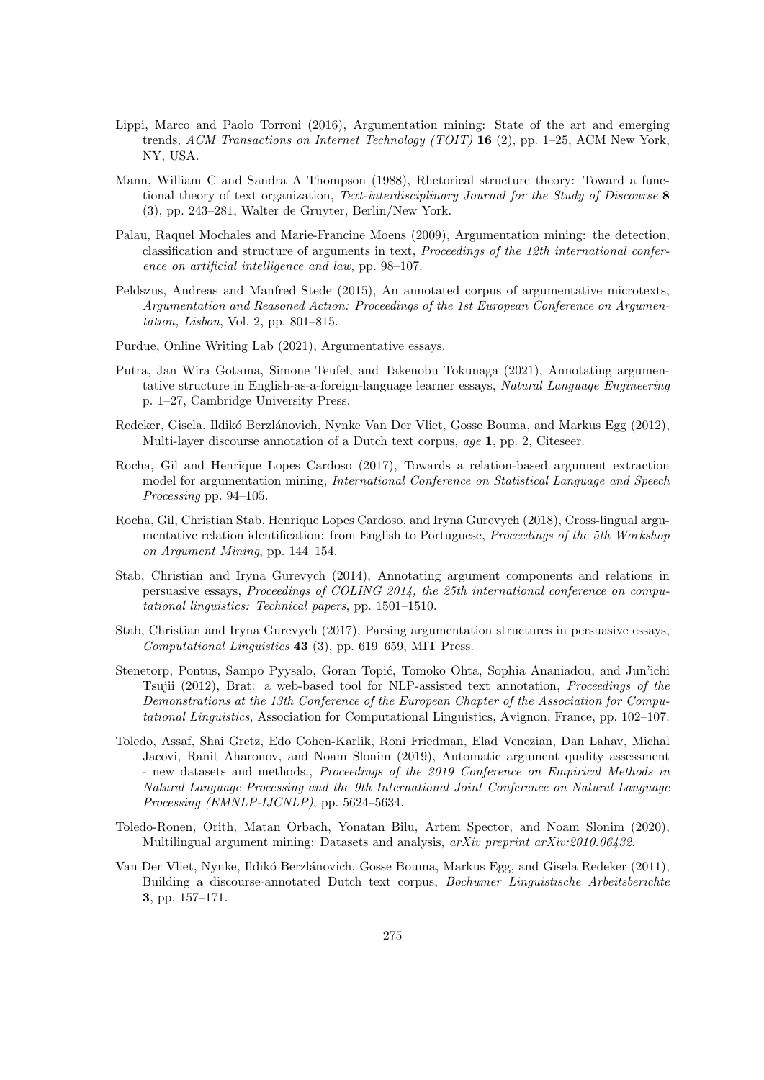- Lippi, Marco and Paolo Torroni (2016), Argumentation mining: State of the art and emerging trends, ACM Transactions on Internet Technology (TOIT) 16 (2), pp. 1–25, ACM New York, NY, USA.
- Mann, William C and Sandra A Thompson (1988), Rhetorical structure theory: Toward a functional theory of text organization, Text-interdisciplinary Journal for the Study of Discourse 8 (3), pp. 243–281, Walter de Gruyter, Berlin/New York.
- Palau, Raquel Mochales and Marie-Francine Moens (2009), Argumentation mining: the detection, classification and structure of arguments in text, Proceedings of the 12th international conference on artificial intelligence and law, pp. 98–107.
- Peldszus, Andreas and Manfred Stede (2015), An annotated corpus of argumentative microtexts, Argumentation and Reasoned Action: Proceedings of the 1st European Conference on Argumentation, Lisbon, Vol. 2, pp. 801–815.
- Purdue, Online Writing Lab (2021), Argumentative essays.
- Putra, Jan Wira Gotama, Simone Teufel, and Takenobu Tokunaga (2021), Annotating argumentative structure in English-as-a-foreign-language learner essays, Natural Language Engineering p. 1–27, Cambridge University Press.
- Redeker, Gisela, Ildikó Berzlánovich, Nynke Van Der Vliet, Gosse Bouma, and Markus Egg (2012), Multi-layer discourse annotation of a Dutch text corpus, age 1, pp. 2, Citeseer.
- Rocha, Gil and Henrique Lopes Cardoso (2017), Towards a relation-based argument extraction model for argumentation mining, International Conference on Statistical Language and Speech Processing pp. 94–105.
- Rocha, Gil, Christian Stab, Henrique Lopes Cardoso, and Iryna Gurevych (2018), Cross-lingual argumentative relation identification: from English to Portuguese, *Proceedings of the 5th Workshop* on Argument Mining, pp. 144–154.
- Stab, Christian and Iryna Gurevych (2014), Annotating argument components and relations in persuasive essays, Proceedings of COLING 2014, the 25th international conference on computational linguistics: Technical papers, pp. 1501–1510.
- Stab, Christian and Iryna Gurevych (2017), Parsing argumentation structures in persuasive essays, Computational Linguistics 43 (3), pp. 619–659, MIT Press.
- Stenetorp, Pontus, Sampo Pyysalo, Goran Topić, Tomoko Ohta, Sophia Ananiadou, and Jun'ichi Tsujii (2012), Brat: a web-based tool for NLP-assisted text annotation, Proceedings of the Demonstrations at the 13th Conference of the European Chapter of the Association for Computational Linguistics, Association for Computational Linguistics, Avignon, France, pp. 102–107.
- Toledo, Assaf, Shai Gretz, Edo Cohen-Karlik, Roni Friedman, Elad Venezian, Dan Lahav, Michal Jacovi, Ranit Aharonov, and Noam Slonim (2019), Automatic argument quality assessment - new datasets and methods., Proceedings of the 2019 Conference on Empirical Methods in Natural Language Processing and the 9th International Joint Conference on Natural Language Processing (EMNLP-IJCNLP), pp. 5624–5634.
- Toledo-Ronen, Orith, Matan Orbach, Yonatan Bilu, Artem Spector, and Noam Slonim (2020), Multilingual argument mining: Datasets and analysis, arXiv preprint arXiv:2010.06432.
- Van Der Vliet, Nynke, Ildikó Berzlánovich, Gosse Bouma, Markus Egg, and Gisela Redeker (2011), Building a discourse-annotated Dutch text corpus, Bochumer Linguistische Arbeitsberichte 3, pp. 157–171.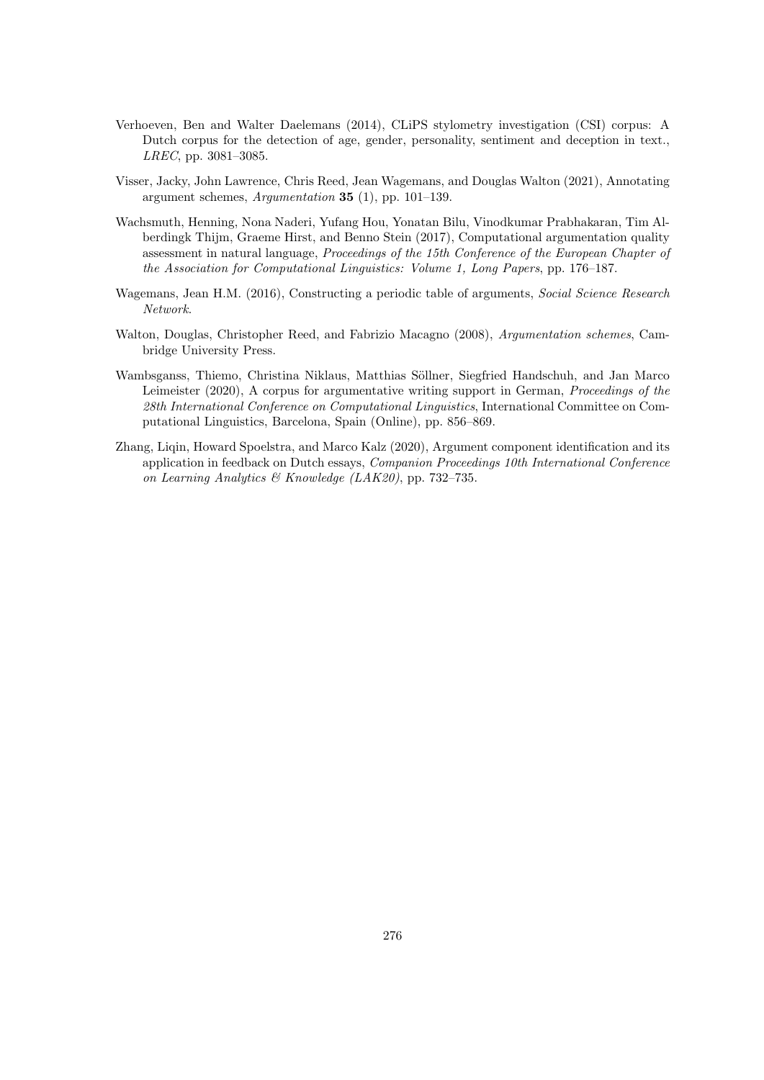- Verhoeven, Ben and Walter Daelemans (2014), CLiPS stylometry investigation (CSI) corpus: A Dutch corpus for the detection of age, gender, personality, sentiment and deception in text., LREC, pp. 3081–3085.
- Visser, Jacky, John Lawrence, Chris Reed, Jean Wagemans, and Douglas Walton (2021), Annotating argument schemes, Argumentation 35 (1), pp. 101–139.
- Wachsmuth, Henning, Nona Naderi, Yufang Hou, Yonatan Bilu, Vinodkumar Prabhakaran, Tim Alberdingk Thijm, Graeme Hirst, and Benno Stein (2017), Computational argumentation quality assessment in natural language, Proceedings of the 15th Conference of the European Chapter of the Association for Computational Linguistics: Volume 1, Long Papers, pp. 176–187.
- Wagemans, Jean H.M. (2016), Constructing a periodic table of arguments, Social Science Research Network.
- Walton, Douglas, Christopher Reed, and Fabrizio Macagno (2008), Argumentation schemes, Cambridge University Press.
- Wambsganss, Thiemo, Christina Niklaus, Matthias Söllner, Siegfried Handschuh, and Jan Marco Leimeister (2020), A corpus for argumentative writing support in German, Proceedings of the 28th International Conference on Computational Linguistics, International Committee on Computational Linguistics, Barcelona, Spain (Online), pp. 856–869.
- Zhang, Ligin, Howard Spoelstra, and Marco Kalz (2020), Argument component identification and its application in feedback on Dutch essays, Companion Proceedings 10th International Conference on Learning Analytics & Knowledge (LAK20), pp. 732–735.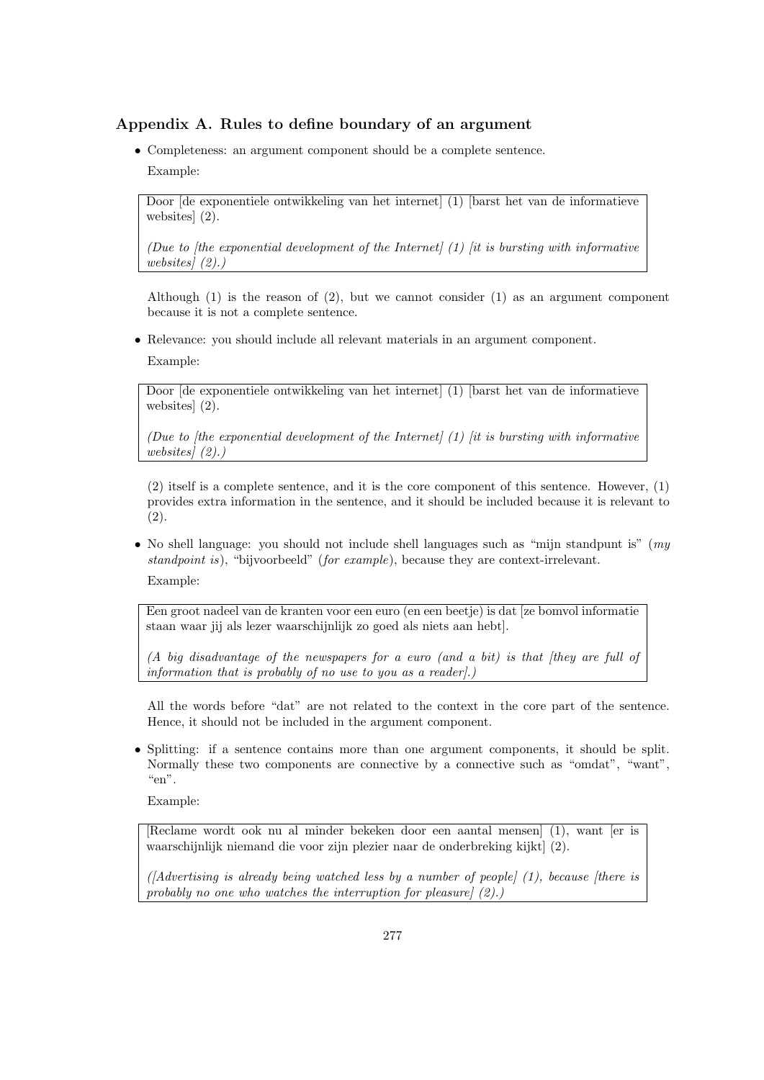## Appendix A. Rules to define boundary of an argument

• Completeness: an argument component should be a complete sentence. Example:

Door [de exponentiele ontwikkeling van het internet] (1) [barst het van de informatieve websites] (2).

(Due to  $[the\; exponential\; development\; of\; the\; Internet]$  (1)  $[it\; is\; bursting\; with\; informative\;$ websites] (2).)

Although (1) is the reason of (2), but we cannot consider (1) as an argument component because it is not a complete sentence.

• Relevance: you should include all relevant materials in an argument component.

Example:

Door [de exponentiele ontwikkeling van het internet] (1) [barst het van de informatieve websites] (2).

(Due to  $[the\; exponential\; development\; of\; the\; Internet]$   $(1)$   $[it\; is\; bursting\; with\; informative\;$ websites] (2).)

(2) itself is a complete sentence, and it is the core component of this sentence. However, (1) provides extra information in the sentence, and it should be included because it is relevant to (2).

• No shell language: you should not include shell languages such as "mijn standpunt is" ( $mv$ ) standpoint is), "bijvoorbeeld" (for example), because they are context-irrelevant. Example:

Een groot nadeel van de kranten voor een euro (en een beetje) is dat [ze bomvol informatie staan waar jij als lezer waarschijnlijk zo goed als niets aan hebt].

(A big disadvantage of the newspapers for a euro (and a bit) is that [they are full of information that is probably of no use to you as a reader].)

All the words before "dat" are not related to the context in the core part of the sentence. Hence, it should not be included in the argument component.

• Splitting: if a sentence contains more than one argument components, it should be split. Normally these two components are connective by a connective such as "omdat", "want", "en".

Example:

[Reclame wordt ook nu al minder bekeken door een aantal mensen] (1), want [er is waarschijnlijk niemand die voor zijn plezier naar de onderbreking kijkt] (2).

( $[Adverting\ is\ already\ being\ watched\ less\ by\ a\ number\ of\ people\ ]\ (1),\ because\ [there\ is\ the\ number\ of\ people\].$ probably no one who watches the interruption for pleasure] (2).)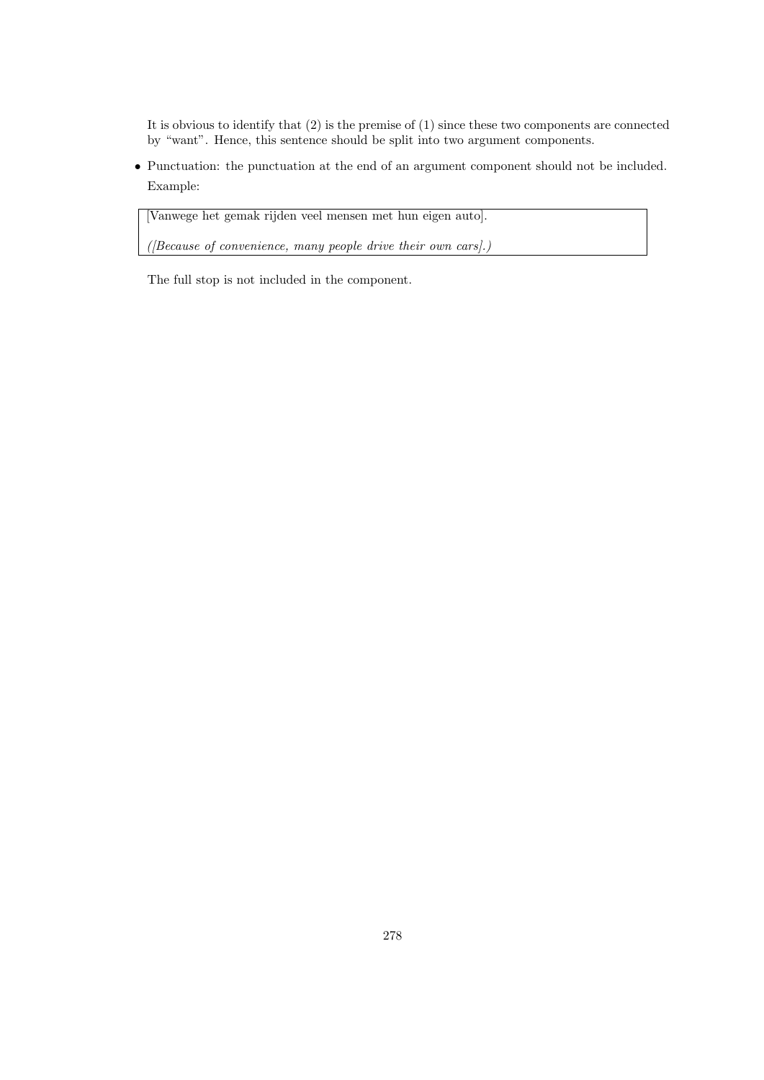It is obvious to identify that (2) is the premise of (1) since these two components are connected by "want". Hence, this sentence should be split into two argument components.

• Punctuation: the punctuation at the end of an argument component should not be included. Example:

[Vanwege het gemak rijden veel mensen met hun eigen auto].

 $(I$ Because of convenience, many people drive their own cars $I$ .)

The full stop is not included in the component.